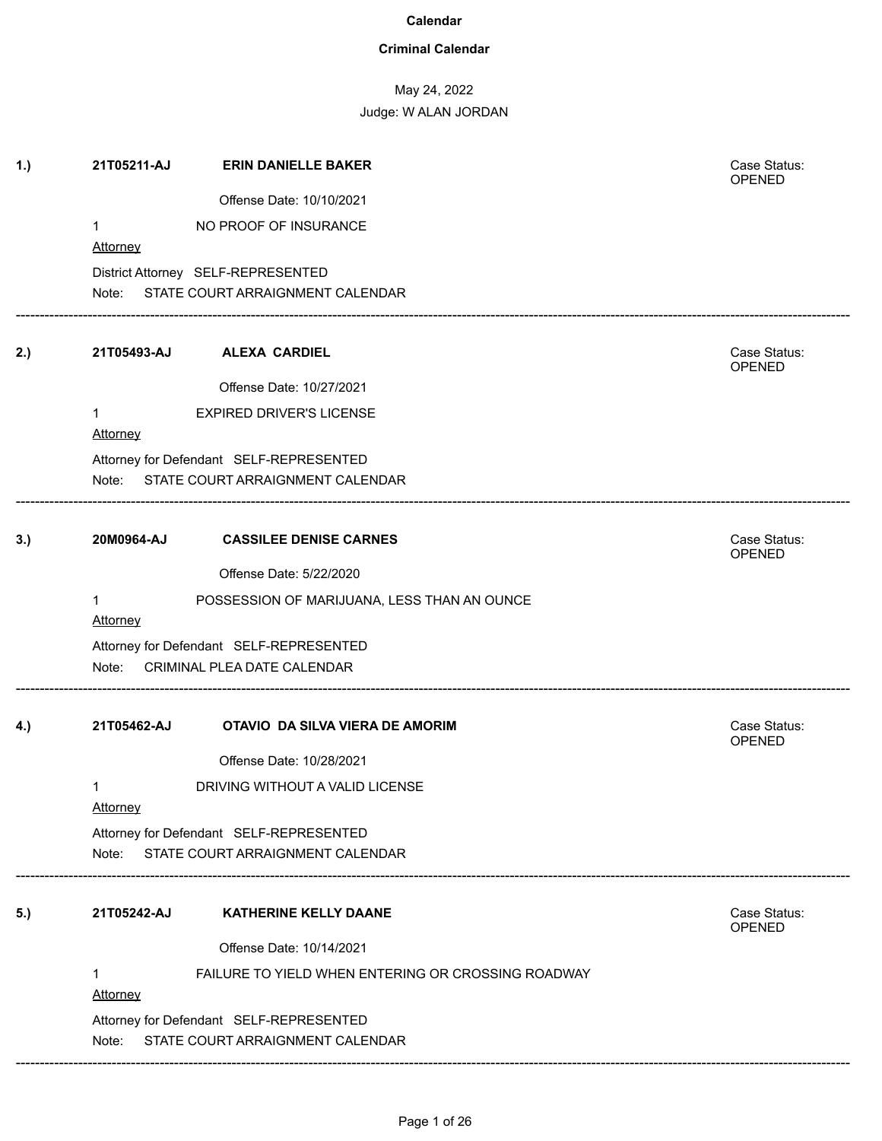### **Criminal Calendar**

May 24, 2022

| 1.) | 21T05211-AJ                    | <b>ERIN DANIELLE BAKER</b>                                                   | Case Status:<br>OPENED        |
|-----|--------------------------------|------------------------------------------------------------------------------|-------------------------------|
|     |                                | Offense Date: 10/10/2021                                                     |                               |
|     | $\mathbf 1$<br>Attorney        | NO PROOF OF INSURANCE                                                        |                               |
|     |                                |                                                                              |                               |
|     |                                | District Attorney SELF-REPRESENTED<br>Note: STATE COURT ARRAIGNMENT CALENDAR |                               |
| 2.) | 21T05493-AJ                    | <b>ALEXA CARDIEL</b>                                                         | Case Status:<br><b>OPENED</b> |
|     |                                | Offense Date: 10/27/2021                                                     |                               |
|     | $\mathbf 1$<br><b>Attorney</b> | <b>EXPIRED DRIVER'S LICENSE</b>                                              |                               |
|     |                                | Attorney for Defendant SELF-REPRESENTED                                      |                               |
|     |                                | Note: STATE COURT ARRAIGNMENT CALENDAR                                       |                               |
| 3.) | 20M0964-AJ                     | <b>CASSILEE DENISE CARNES</b>                                                | Case Status:<br>OPENED        |
|     |                                | Offense Date: 5/22/2020                                                      |                               |
|     | $\mathbf 1$<br><b>Attorney</b> | POSSESSION OF MARIJUANA, LESS THAN AN OUNCE                                  |                               |
|     |                                | Attorney for Defendant SELF-REPRESENTED                                      |                               |
|     | Note:                          | CRIMINAL PLEA DATE CALENDAR                                                  |                               |
| 4.) | 21T05462-AJ                    | OTAVIO DA SILVA VIERA DE AMORIM                                              | Case Status:<br><b>OPENED</b> |
|     |                                | Offense Date: 10/28/2021                                                     |                               |
|     | 1<br>Attorney                  | DRIVING WITHOUT A VALID LICENSE                                              |                               |
|     |                                | Attorney for Defendant SELF-REPRESENTED                                      |                               |
|     |                                | Note: STATE COURT ARRAIGNMENT CALENDAR                                       |                               |
| 5.) | 21T05242-AJ                    | <b>KATHERINE KELLY DAANE</b>                                                 | Case Status:<br><b>OPENED</b> |
|     |                                | Offense Date: 10/14/2021                                                     |                               |
|     | 1<br>Attorney                  | FAILURE TO YIELD WHEN ENTERING OR CROSSING ROADWAY                           |                               |
|     |                                | Attorney for Defendant SELF-REPRESENTED                                      |                               |
|     | Note:                          | STATE COURT ARRAIGNMENT CALENDAR                                             |                               |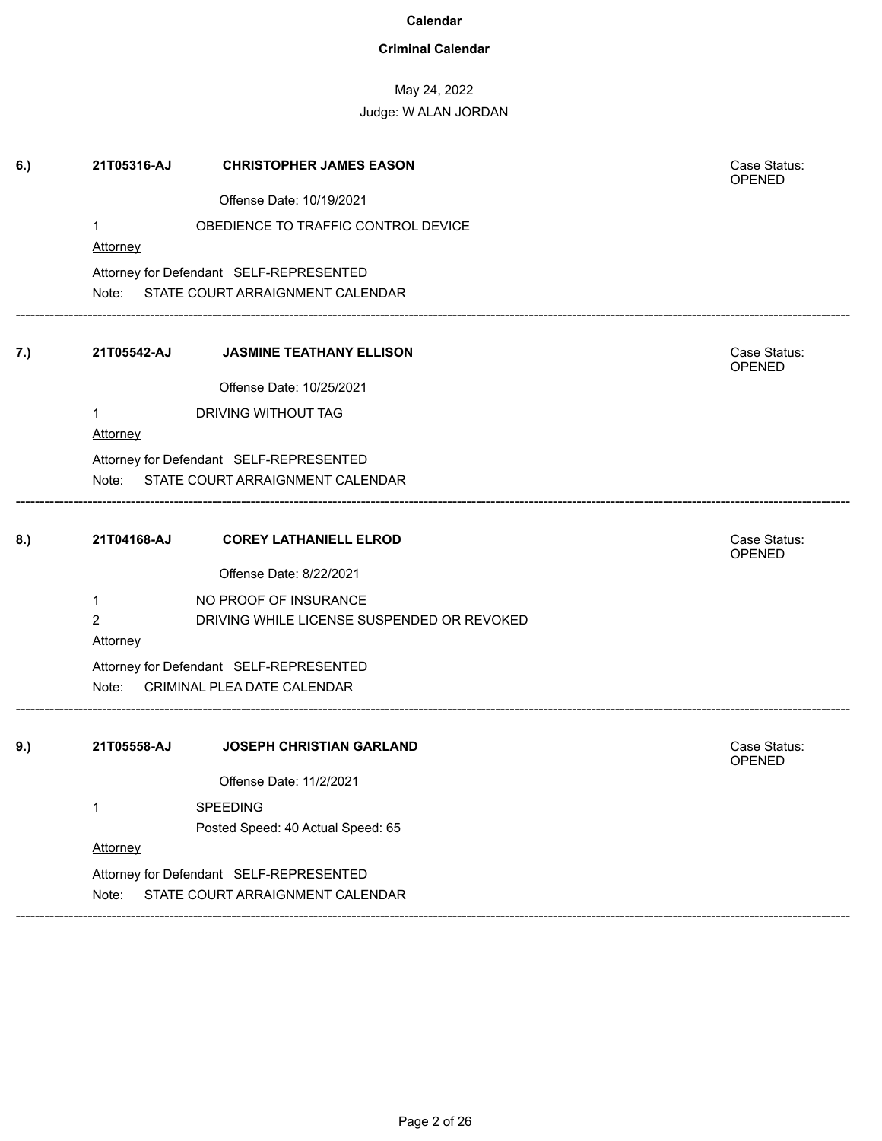### **Criminal Calendar**

# May 24, 2022

| 6.) | 21T05316-AJ                       | <b>CHRISTOPHER JAMES EASON</b>             | Case Status:<br><b>OPENED</b> |
|-----|-----------------------------------|--------------------------------------------|-------------------------------|
|     |                                   | Offense Date: 10/19/2021                   |                               |
|     | 1                                 | OBEDIENCE TO TRAFFIC CONTROL DEVICE        |                               |
|     | <b>Attorney</b>                   |                                            |                               |
|     |                                   | Attorney for Defendant SELF-REPRESENTED    |                               |
|     |                                   | Note: STATE COURT ARRAIGNMENT CALENDAR     |                               |
| 7.) |                                   | 21T05542-AJ JASMINE TEATHANY ELLISON       | Case Status:<br>OPENED        |
|     |                                   | Offense Date: 10/25/2021                   |                               |
|     | 1                                 | DRIVING WITHOUT TAG                        |                               |
|     | <b>Attorney</b>                   |                                            |                               |
|     |                                   | Attorney for Defendant SELF-REPRESENTED    |                               |
|     |                                   | Note: STATE COURT ARRAIGNMENT CALENDAR     |                               |
| 8.) | 21T04168-AJ                       | <b>COREY LATHANIELL ELROD</b>              | Case Status:<br>OPENED        |
|     |                                   | Offense Date: 8/22/2021                    |                               |
|     | 1                                 | NO PROOF OF INSURANCE                      |                               |
|     | $\overline{2}$<br><b>Attorney</b> | DRIVING WHILE LICENSE SUSPENDED OR REVOKED |                               |
|     |                                   | Attorney for Defendant SELF-REPRESENTED    |                               |
|     |                                   | Note: CRIMINAL PLEA DATE CALENDAR          |                               |
| 9.) | 21T05558-AJ                       | <b>JOSEPH CHRISTIAN GARLAND</b>            | Case Status:                  |
|     |                                   |                                            | <b>OPENED</b>                 |
|     |                                   | Offense Date: 11/2/2021                    |                               |
|     | 1                                 | SPEEDING                                   |                               |
|     |                                   | Posted Speed: 40 Actual Speed: 65          |                               |
|     | Attorney                          |                                            |                               |
|     |                                   | Attorney for Defendant SELF-REPRESENTED    |                               |
|     | Note:                             | STATE COURT ARRAIGNMENT CALENDAR           |                               |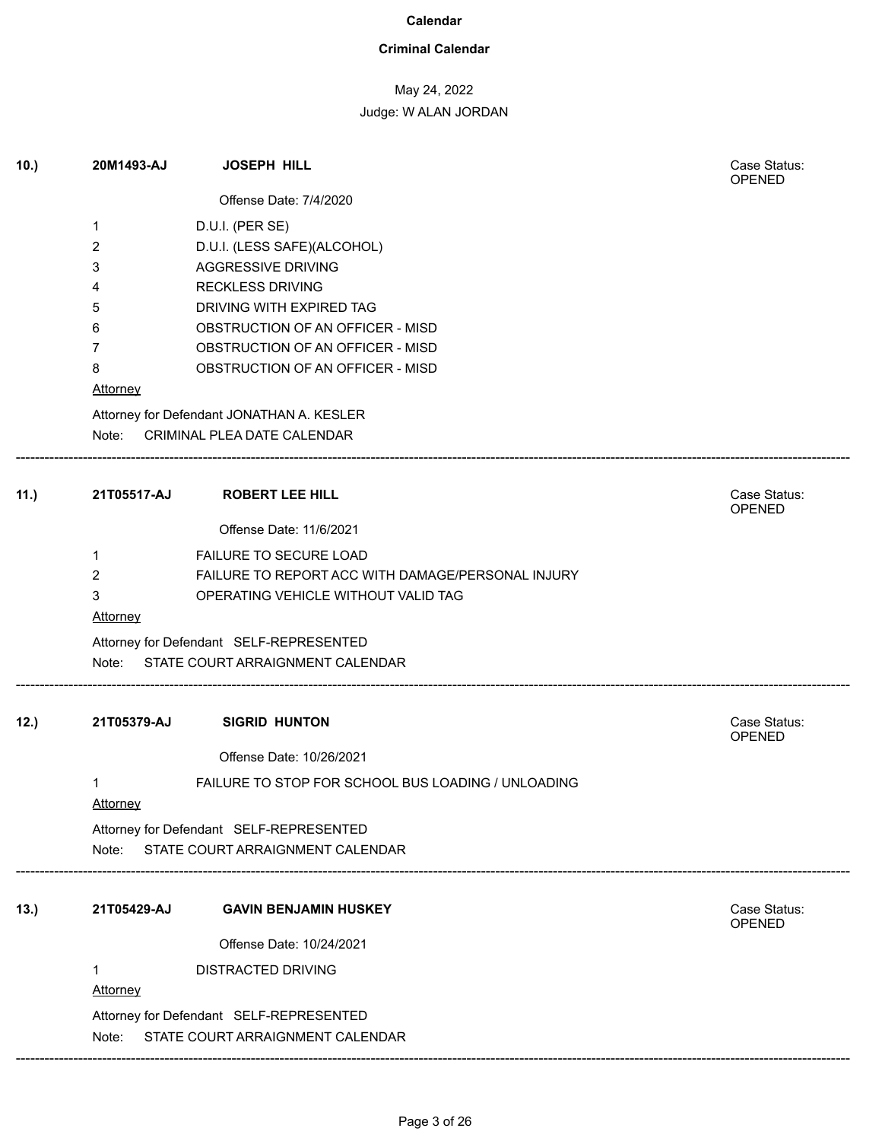### **Criminal Calendar**

# May 24, 2022 Judge: W ALAN JORDAN

| 10.) | 20M1493-AJ           | <b>JOSEPH HILL</b>                                                   | Case Status:<br>OPENED |
|------|----------------------|----------------------------------------------------------------------|------------------------|
|      |                      | Offense Date: 7/4/2020                                               |                        |
|      | 1                    | D.U.I. (PER SE)                                                      |                        |
|      | 2                    | D.U.I. (LESS SAFE)(ALCOHOL)                                          |                        |
|      | 3                    | AGGRESSIVE DRIVING                                                   |                        |
|      | 4                    | <b>RECKLESS DRIVING</b>                                              |                        |
|      | 5                    | DRIVING WITH EXPIRED TAG                                             |                        |
|      | 6<br>7               | OBSTRUCTION OF AN OFFICER - MISD<br>OBSTRUCTION OF AN OFFICER - MISD |                        |
|      | 8                    | OBSTRUCTION OF AN OFFICER - MISD                                     |                        |
|      | Attorney             |                                                                      |                        |
|      |                      | Attorney for Defendant JONATHAN A. KESLER                            |                        |
|      | Note:                | CRIMINAL PLEA DATE CALENDAR                                          |                        |
| 11.) | 21T05517-AJ          | <b>ROBERT LEE HILL</b>                                               | Case Status:<br>OPENED |
|      |                      | Offense Date: 11/6/2021                                              |                        |
|      | 1                    | FAILURE TO SECURE LOAD                                               |                        |
|      | 2                    | FAILURE TO REPORT ACC WITH DAMAGE/PERSONAL INJURY                    |                        |
|      | 3                    | OPERATING VEHICLE WITHOUT VALID TAG                                  |                        |
|      | <b>Attorney</b>      |                                                                      |                        |
|      |                      | Attorney for Defendant SELF-REPRESENTED                              |                        |
|      | Note:                | STATE COURT ARRAIGNMENT CALENDAR                                     |                        |
| 12.) | 21T05379-AJ          | <b>SIGRID HUNTON</b>                                                 | Case Status:<br>OPENED |
|      |                      | Offense Date: 10/26/2021                                             |                        |
|      | 1<br><b>Attorney</b> | FAILURE TO STOP FOR SCHOOL BUS LOADING / UNLOADING                   |                        |
|      |                      | Attorney for Defendant SELF-REPRESENTED                              |                        |
|      | Note:                | STATE COURT ARRAIGNMENT CALENDAR                                     |                        |
| 13.) | 21T05429-AJ          | <b>GAVIN BENJAMIN HUSKEY</b>                                         | Case Status:           |
|      |                      |                                                                      | OPENED                 |
|      |                      | Offense Date: 10/24/2021                                             |                        |
|      | 1                    | DISTRACTED DRIVING                                                   |                        |
|      | <b>Attorney</b>      |                                                                      |                        |
|      |                      | Attorney for Defendant SELF-REPRESENTED                              |                        |
|      |                      | Note: STATE COURT ARRAIGNMENT CALENDAR                               |                        |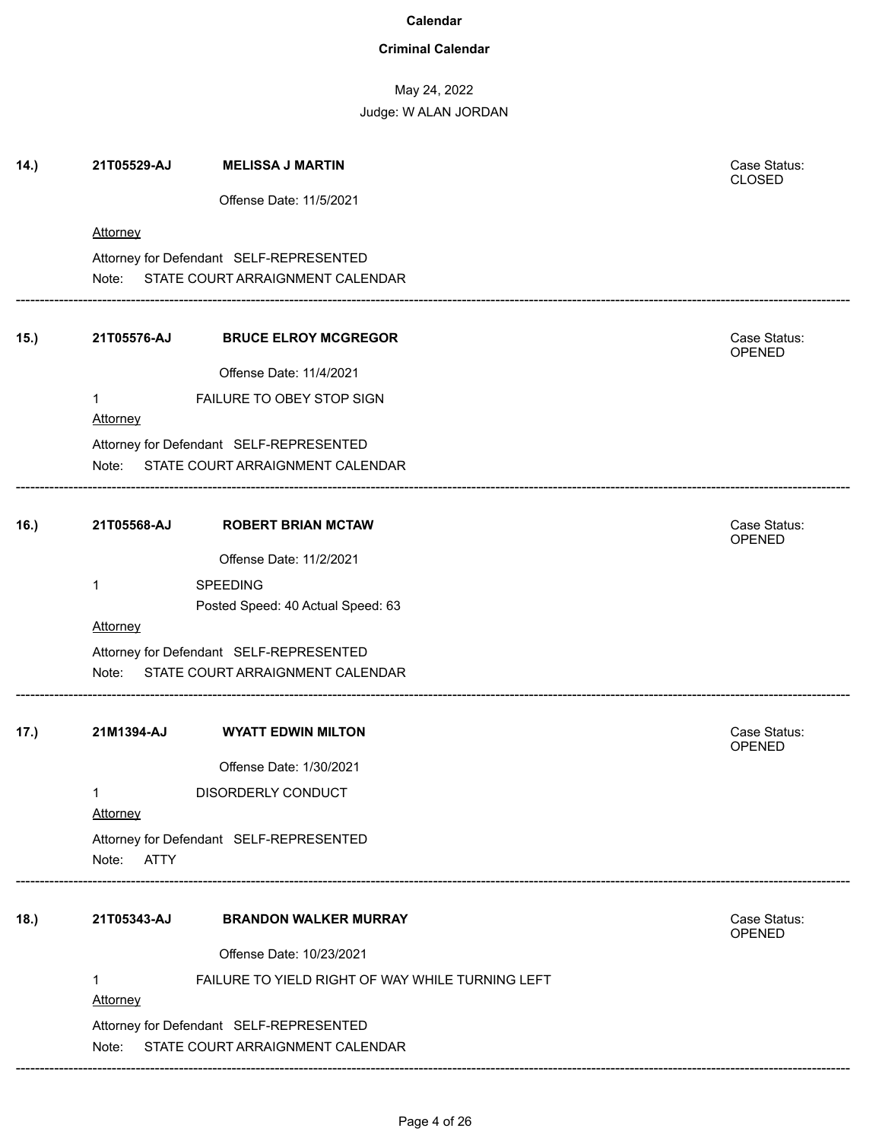### **Criminal Calendar**

May 24, 2022

| 14.) | 21T05529-AJ          | <b>MELISSA J MARTIN</b>                                                     | Case Status:<br><b>CLOSED</b> |
|------|----------------------|-----------------------------------------------------------------------------|-------------------------------|
|      |                      | Offense Date: 11/5/2021                                                     |                               |
|      | Attorney             |                                                                             |                               |
|      |                      | Attorney for Defendant SELF-REPRESENTED                                     |                               |
|      |                      | Note: STATE COURT ARRAIGNMENT CALENDAR                                      |                               |
| 15.) | 21T05576-AJ          | <b>BRUCE ELROY MCGREGOR</b>                                                 | Case Status:<br>OPENED        |
|      |                      | Offense Date: 11/4/2021                                                     |                               |
|      | 1<br><b>Attorney</b> | FAILURE TO OBEY STOP SIGN                                                   |                               |
|      |                      | Attorney for Defendant SELF-REPRESENTED                                     |                               |
|      |                      | Note: STATE COURT ARRAIGNMENT CALENDAR                                      |                               |
| 16.) | 21T05568-AJ          | <b>ROBERT BRIAN MCTAW</b>                                                   | Case Status:<br>OPENED        |
|      |                      | Offense Date: 11/2/2021                                                     |                               |
|      | 1                    | <b>SPEEDING</b>                                                             |                               |
|      |                      | Posted Speed: 40 Actual Speed: 63                                           |                               |
|      | Attorney             |                                                                             |                               |
|      |                      | Attorney for Defendant SELF-REPRESENTED                                     |                               |
|      | Note:                | STATE COURT ARRAIGNMENT CALENDAR                                            |                               |
| 17.) | 21M1394-AJ           | <b>WYATT EDWIN MILTON</b>                                                   | Case Status:<br><b>OPENED</b> |
|      |                      | Offense Date: 1/30/2021                                                     |                               |
|      | 1<br>Attorney        | <b>DISORDERLY CONDUCT</b>                                                   |                               |
|      | Note:<br>ATTY        | Attorney for Defendant SELF-REPRESENTED                                     |                               |
| 18.) | 21T05343-AJ          | <b>BRANDON WALKER MURRAY</b>                                                | Case Status:<br>OPENED        |
|      |                      | Offense Date: 10/23/2021                                                    |                               |
|      | 1<br><b>Attorney</b> | FAILURE TO YIELD RIGHT OF WAY WHILE TURNING LEFT                            |                               |
|      | Note:                | Attorney for Defendant SELF-REPRESENTED<br>STATE COURT ARRAIGNMENT CALENDAR |                               |
|      |                      |                                                                             |                               |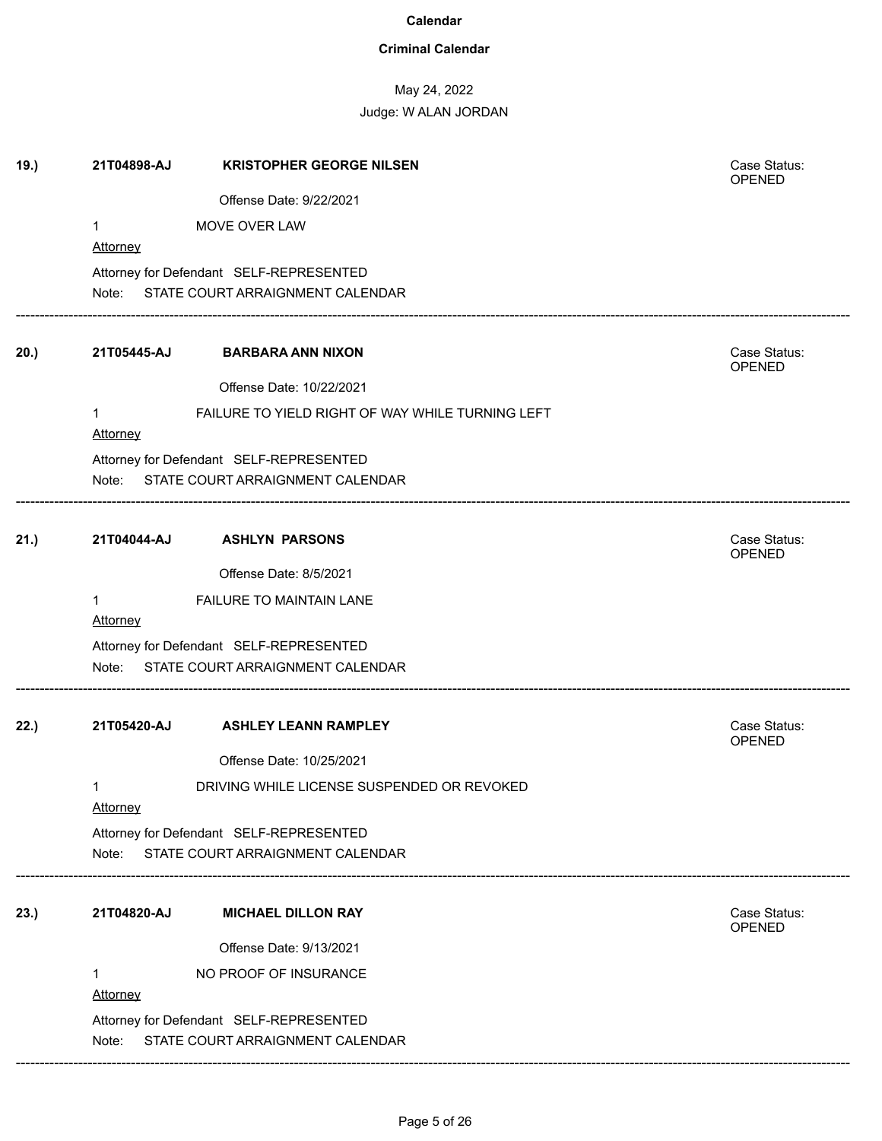### **Criminal Calendar**

# May 24, 2022

Judge: W ALAN JORDAN

| 19.) | 21T04898-AJ     | <b>KRISTOPHER GEORGE NILSEN</b>                  | Case Status:<br><b>OPENED</b> |
|------|-----------------|--------------------------------------------------|-------------------------------|
|      |                 | Offense Date: 9/22/2021                          |                               |
|      | $\mathbf{1}$    | MOVE OVER LAW                                    |                               |
|      | Attorney        |                                                  |                               |
|      |                 | Attorney for Defendant SELF-REPRESENTED          |                               |
|      |                 | Note: STATE COURT ARRAIGNMENT CALENDAR           |                               |
| 20.) | 21T05445-AJ     | <b>BARBARA ANN NIXON</b>                         | Case Status:<br>OPENED        |
|      |                 | Offense Date: 10/22/2021                         |                               |
|      | $\mathbf 1$     | FAILURE TO YIELD RIGHT OF WAY WHILE TURNING LEFT |                               |
|      | <b>Attorney</b> |                                                  |                               |
|      |                 | Attorney for Defendant SELF-REPRESENTED          |                               |
|      | Note:           | STATE COURT ARRAIGNMENT CALENDAR                 |                               |
| 21.) | 21T04044-AJ     | <b>ASHLYN PARSONS</b>                            | Case Status:<br>OPENED        |
|      |                 | Offense Date: 8/5/2021                           |                               |
|      | $\mathbf{1}$    | FAILURE TO MAINTAIN LANE                         |                               |
|      | <b>Attorney</b> |                                                  |                               |
|      |                 | Attorney for Defendant SELF-REPRESENTED          |                               |
|      |                 | Note: STATE COURT ARRAIGNMENT CALENDAR           |                               |
| 22.) | 21T05420-AJ     | <b>ASHLEY LEANN RAMPLEY</b>                      | Case Status:<br><b>OPENED</b> |
|      |                 | Offense Date: 10/25/2021                         |                               |
|      | 1               | DRIVING WHILE LICENSE SUSPENDED OR REVOKED       |                               |
|      | Attorney        |                                                  |                               |
|      |                 | Attorney for Defendant SELF-REPRESENTED          |                               |
|      | Note:           | STATE COURT ARRAIGNMENT CALENDAR                 |                               |
| 23.) | 21T04820-AJ     | <b>MICHAEL DILLON RAY</b>                        | Case Status:<br><b>OPENED</b> |
|      |                 | Offense Date: 9/13/2021                          |                               |
|      | 1               | NO PROOF OF INSURANCE                            |                               |
|      | <b>Attorney</b> |                                                  |                               |
|      |                 | Attorney for Defendant SELF-REPRESENTED          |                               |
|      | Note:           | STATE COURT ARRAIGNMENT CALENDAR                 |                               |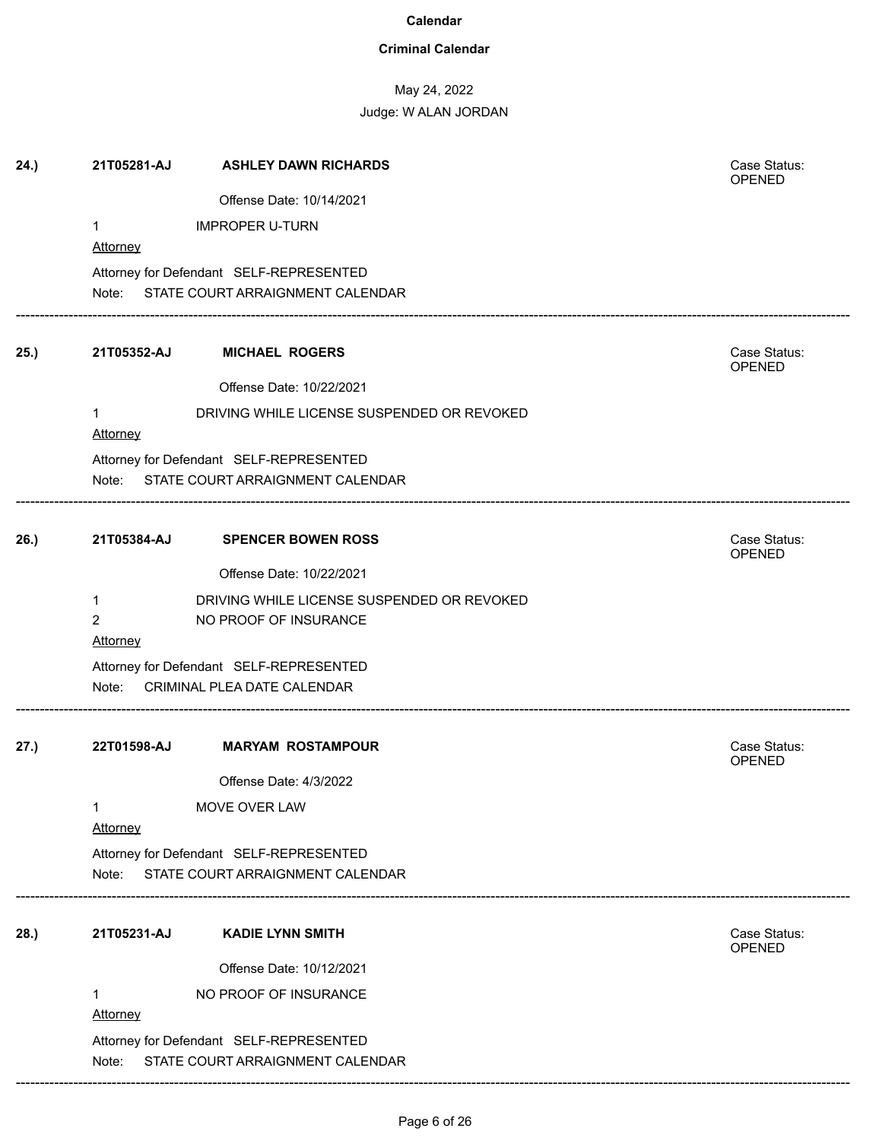### **Criminal Calendar**

# May 24, 2022

| 21T05281-AJ     | <b>ASHLEY DAWN RICHARDS</b>                | Case Status:<br>OPENED                                                                                                                                                                                                                                                                                                                                                                                                                              |
|-----------------|--------------------------------------------|-----------------------------------------------------------------------------------------------------------------------------------------------------------------------------------------------------------------------------------------------------------------------------------------------------------------------------------------------------------------------------------------------------------------------------------------------------|
|                 | Offense Date: 10/14/2021                   |                                                                                                                                                                                                                                                                                                                                                                                                                                                     |
| 1               | <b>IMPROPER U-TURN</b>                     |                                                                                                                                                                                                                                                                                                                                                                                                                                                     |
| <b>Attorney</b> |                                            |                                                                                                                                                                                                                                                                                                                                                                                                                                                     |
|                 |                                            |                                                                                                                                                                                                                                                                                                                                                                                                                                                     |
|                 |                                            |                                                                                                                                                                                                                                                                                                                                                                                                                                                     |
| 21T05352-AJ     | <b>MICHAEL ROGERS</b>                      | Case Status:<br>OPENED                                                                                                                                                                                                                                                                                                                                                                                                                              |
|                 | Offense Date: 10/22/2021                   |                                                                                                                                                                                                                                                                                                                                                                                                                                                     |
| 1<br>Attorney   | DRIVING WHILE LICENSE SUSPENDED OR REVOKED |                                                                                                                                                                                                                                                                                                                                                                                                                                                     |
|                 |                                            |                                                                                                                                                                                                                                                                                                                                                                                                                                                     |
| Note:           |                                            |                                                                                                                                                                                                                                                                                                                                                                                                                                                     |
| 21T05384-AJ     | <b>SPENCER BOWEN ROSS</b>                  | Case Status:<br>OPENED                                                                                                                                                                                                                                                                                                                                                                                                                              |
|                 | Offense Date: 10/22/2021                   |                                                                                                                                                                                                                                                                                                                                                                                                                                                     |
| $\mathbf{1}$    | DRIVING WHILE LICENSE SUSPENDED OR REVOKED |                                                                                                                                                                                                                                                                                                                                                                                                                                                     |
| $\overline{2}$  | NO PROOF OF INSURANCE                      |                                                                                                                                                                                                                                                                                                                                                                                                                                                     |
| Attorney        |                                            |                                                                                                                                                                                                                                                                                                                                                                                                                                                     |
|                 |                                            |                                                                                                                                                                                                                                                                                                                                                                                                                                                     |
| Note:           |                                            |                                                                                                                                                                                                                                                                                                                                                                                                                                                     |
| 22T01598-AJ     | <b>MARYAM ROSTAMPOUR</b>                   | Case Status:<br><b>OPENED</b>                                                                                                                                                                                                                                                                                                                                                                                                                       |
|                 |                                            |                                                                                                                                                                                                                                                                                                                                                                                                                                                     |
| Attorney        |                                            |                                                                                                                                                                                                                                                                                                                                                                                                                                                     |
|                 |                                            |                                                                                                                                                                                                                                                                                                                                                                                                                                                     |
|                 |                                            |                                                                                                                                                                                                                                                                                                                                                                                                                                                     |
| 21T05231-AJ     | <b>KADIE LYNN SMITH</b>                    | Case Status:<br>OPENED                                                                                                                                                                                                                                                                                                                                                                                                                              |
|                 | Offense Date: 10/12/2021                   |                                                                                                                                                                                                                                                                                                                                                                                                                                                     |
| 1               | NO PROOF OF INSURANCE                      |                                                                                                                                                                                                                                                                                                                                                                                                                                                     |
| Note:           |                                            |                                                                                                                                                                                                                                                                                                                                                                                                                                                     |
|                 | 1<br>Note:<br>Attorney                     | Attorney for Defendant SELF-REPRESENTED<br>Note: STATE COURT ARRAIGNMENT CALENDAR<br>Attorney for Defendant SELF-REPRESENTED<br>STATE COURT ARRAIGNMENT CALENDAR<br>Attorney for Defendant SELF-REPRESENTED<br>CRIMINAL PLEA DATE CALENDAR<br>Offense Date: 4/3/2022<br>MOVE OVER LAW<br>Attorney for Defendant SELF-REPRESENTED<br>STATE COURT ARRAIGNMENT CALENDAR<br>Attorney for Defendant SELF-REPRESENTED<br>STATE COURT ARRAIGNMENT CALENDAR |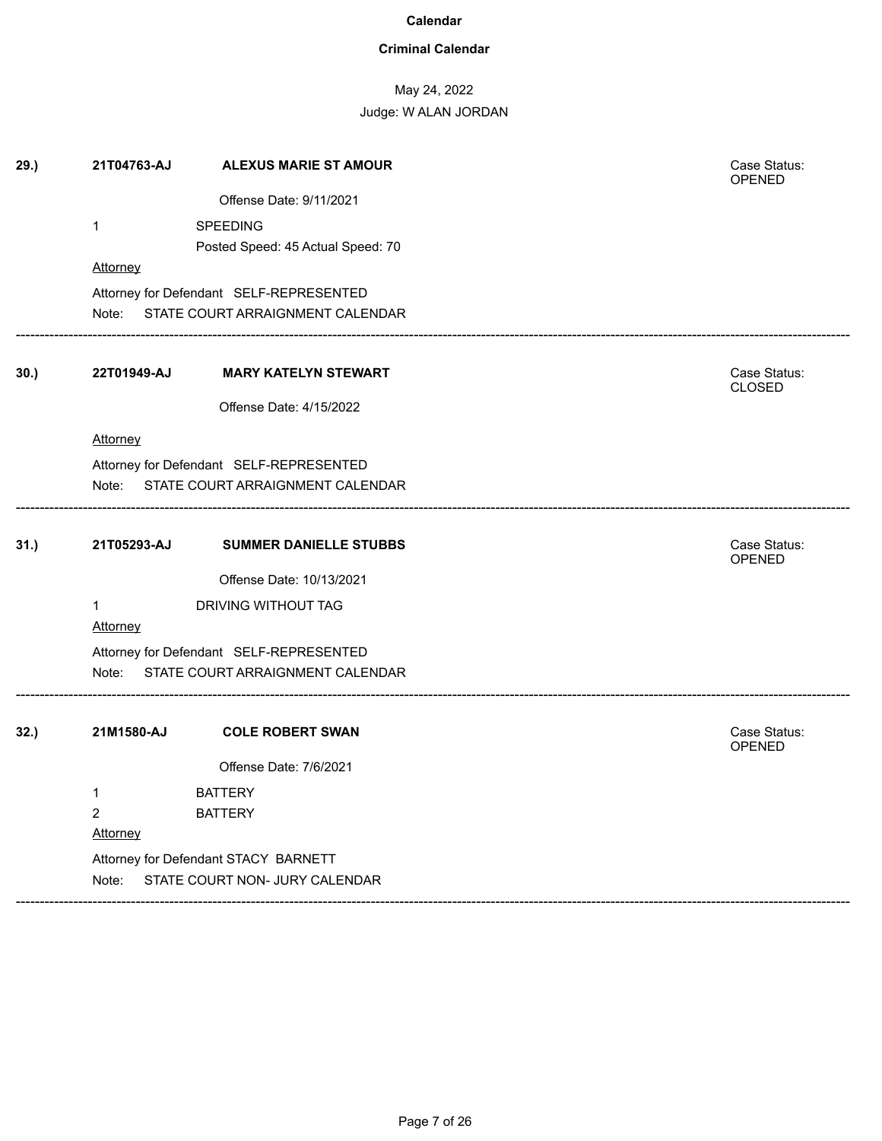### **Criminal Calendar**

# May 24, 2022

| 29.) | 21T04763-AJ         | <b>ALEXUS MARIE ST AMOUR</b>                                           | Case Status:<br>OPENED        |
|------|---------------------|------------------------------------------------------------------------|-------------------------------|
|      |                     | Offense Date: 9/11/2021                                                |                               |
|      | $\mathbf{1}$        | <b>SPEEDING</b>                                                        |                               |
|      |                     | Posted Speed: 45 Actual Speed: 70                                      |                               |
|      | Attorney            |                                                                        |                               |
|      |                     | Attorney for Defendant SELF-REPRESENTED                                |                               |
|      | Note:               | STATE COURT ARRAIGNMENT CALENDAR                                       |                               |
| 30.) | 22T01949-AJ         | <b>MARY KATELYN STEWART</b>                                            | Case Status:<br><b>CLOSED</b> |
|      |                     | Offense Date: 4/15/2022                                                |                               |
|      | Attorney            |                                                                        |                               |
|      |                     | Attorney for Defendant SELF-REPRESENTED                                |                               |
|      | Note:               | STATE COURT ARRAIGNMENT CALENDAR                                       |                               |
| 31.) | 21T05293-AJ         | <b>SUMMER DANIELLE STUBBS</b>                                          | Case Status:<br>OPENED        |
|      |                     | Offense Date: 10/13/2021                                               |                               |
|      | $\mathbf{1}$        | DRIVING WITHOUT TAG                                                    |                               |
|      | Attorney            |                                                                        |                               |
|      |                     | Attorney for Defendant SELF-REPRESENTED                                |                               |
|      | Note:               | STATE COURT ARRAIGNMENT CALENDAR                                       |                               |
| 32.  | 21M1580-AJ          | <b>COLE ROBERT SWAN</b>                                                | Case Status:                  |
|      |                     | Offense Date: 7/6/2021                                                 | OPENED                        |
|      |                     |                                                                        |                               |
|      | 1<br>$\overline{2}$ | <b>BATTERY</b><br><b>BATTERY</b>                                       |                               |
|      | <u>Attorney</u>     |                                                                        |                               |
|      |                     |                                                                        |                               |
|      | Note:               | Attorney for Defendant STACY BARNETT<br>STATE COURT NON- JURY CALENDAR |                               |
|      |                     |                                                                        |                               |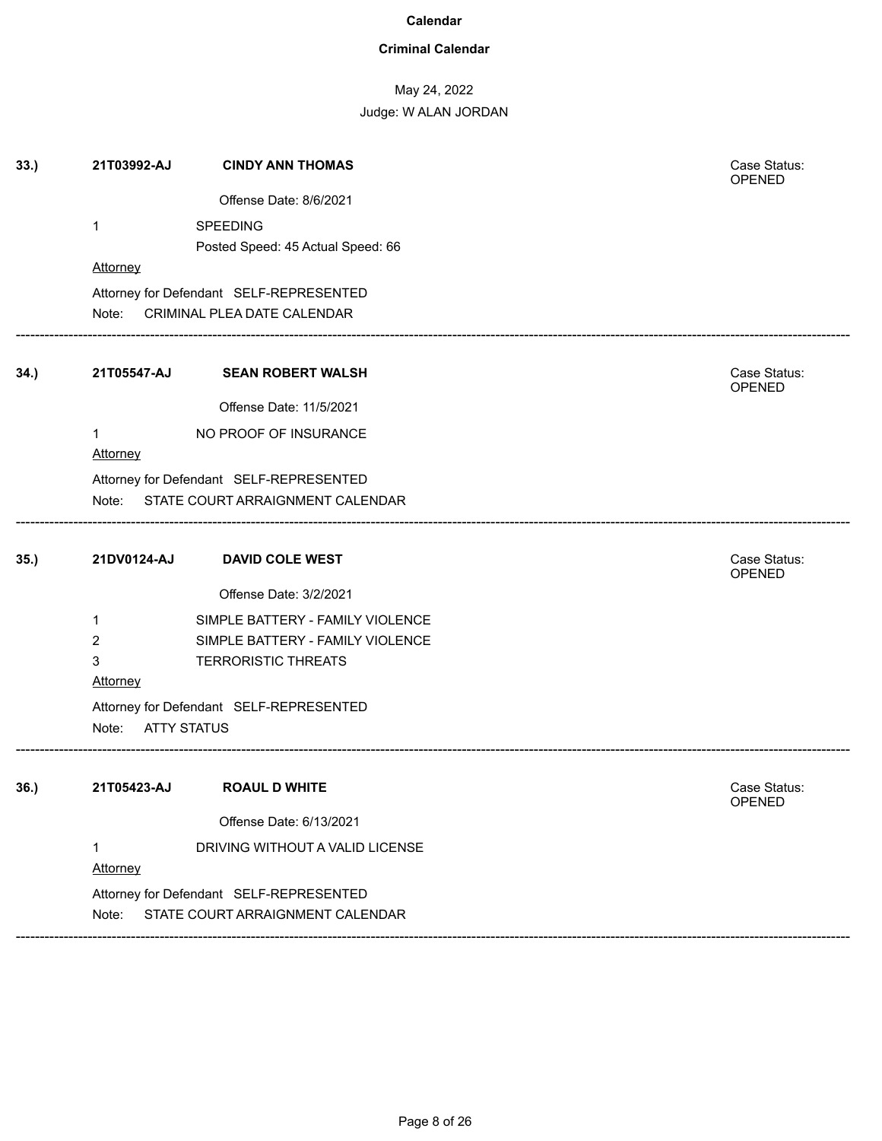### **Criminal Calendar**

# May 24, 2022

| 33.) | 21T03992-AJ                 | <b>CINDY ANN THOMAS</b>                 | Case Status:<br><b>OPENED</b> |  |
|------|-----------------------------|-----------------------------------------|-------------------------------|--|
|      |                             | Offense Date: 8/6/2021                  |                               |  |
|      | $\mathbf 1$                 | <b>SPEEDING</b>                         |                               |  |
|      |                             | Posted Speed: 45 Actual Speed: 66       |                               |  |
|      | <b>Attorney</b>             |                                         |                               |  |
|      |                             | Attorney for Defendant SELF-REPRESENTED |                               |  |
|      | Note:                       | CRIMINAL PLEA DATE CALENDAR             |                               |  |
| 34.) | 21T05547-AJ                 | <b>SEAN ROBERT WALSH</b>                | Case Status:<br>OPENED        |  |
|      |                             | Offense Date: 11/5/2021                 |                               |  |
|      | $\mathbf{1}$                | NO PROOF OF INSURANCE                   |                               |  |
|      | Attorney                    |                                         |                               |  |
|      |                             | Attorney for Defendant SELF-REPRESENTED |                               |  |
|      | Note:                       | STATE COURT ARRAIGNMENT CALENDAR        |                               |  |
|      |                             |                                         |                               |  |
| 35.) | 21DV0124-AJ                 | <b>DAVID COLE WEST</b>                  | Case Status:<br><b>OPENED</b> |  |
|      |                             | Offense Date: 3/2/2021                  |                               |  |
|      | 1                           | SIMPLE BATTERY - FAMILY VIOLENCE        |                               |  |
|      | 2                           | SIMPLE BATTERY - FAMILY VIOLENCE        |                               |  |
|      | 3                           | <b>TERRORISTIC THREATS</b>              |                               |  |
|      | <b>Attorney</b>             |                                         |                               |  |
|      |                             | Attorney for Defendant SELF-REPRESENTED |                               |  |
|      | <b>ATTY STATUS</b><br>Note: |                                         |                               |  |
| 36.) | 21T05423-AJ                 | <b>ROAUL D WHITE</b>                    | Case Status:                  |  |
|      |                             |                                         | OPENED                        |  |
|      |                             | Offense Date: 6/13/2021                 |                               |  |
|      | 1                           | DRIVING WITHOUT A VALID LICENSE         |                               |  |
|      | Attorney                    |                                         |                               |  |
|      |                             | Attorney for Defendant SELF-REPRESENTED |                               |  |
|      | Note:                       | STATE COURT ARRAIGNMENT CALENDAR        |                               |  |
|      |                             |                                         |                               |  |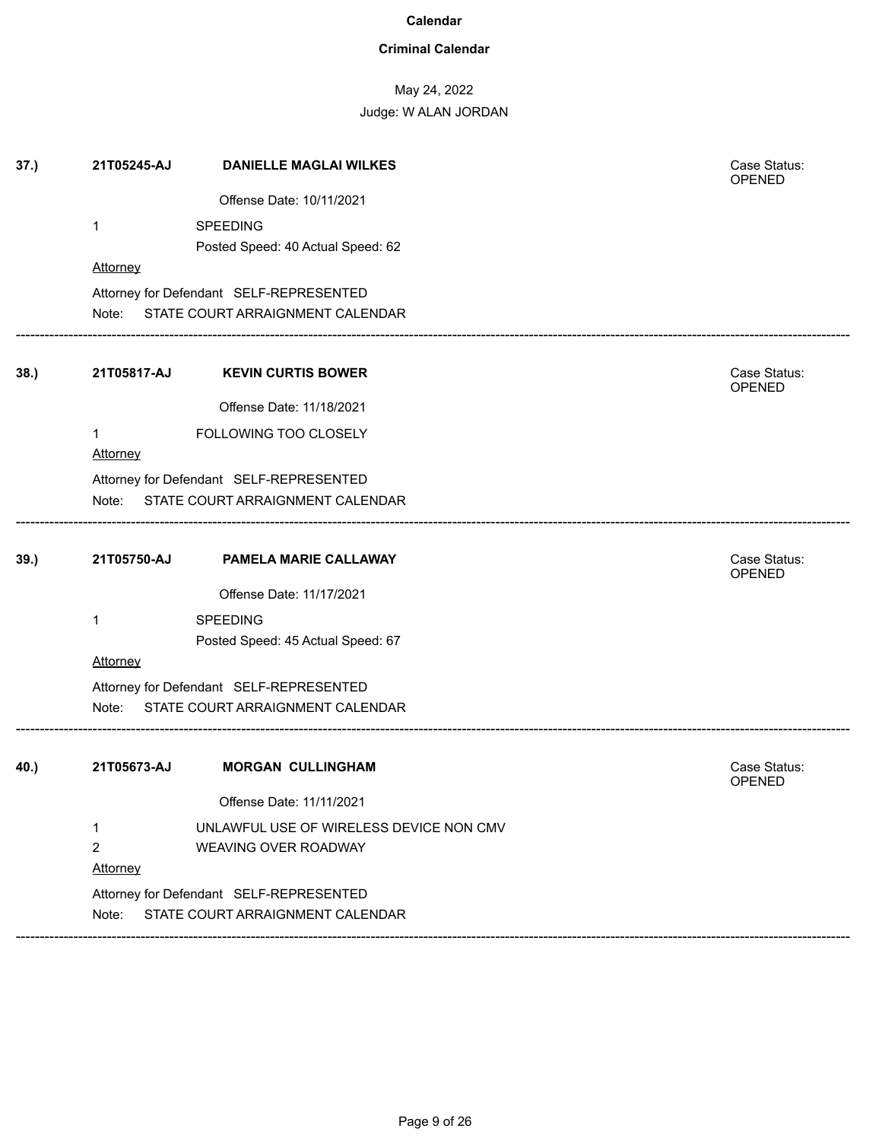### **Criminal Calendar**

# May 24, 2022

| 37.) | 21T05245-AJ     | <b>DANIELLE MAGLAI WILKES</b>                                               | Case Status:<br>OPENED |
|------|-----------------|-----------------------------------------------------------------------------|------------------------|
|      |                 | Offense Date: 10/11/2021                                                    |                        |
|      | 1               | <b>SPEEDING</b>                                                             |                        |
|      |                 | Posted Speed: 40 Actual Speed: 62                                           |                        |
|      | Attorney        |                                                                             |                        |
|      |                 | Attorney for Defendant SELF-REPRESENTED                                     |                        |
|      | Note:           | STATE COURT ARRAIGNMENT CALENDAR                                            |                        |
| 38.  | 21T05817-AJ     | <b>KEVIN CURTIS BOWER</b>                                                   | Case Status:<br>OPENED |
|      |                 | Offense Date: 11/18/2021                                                    |                        |
|      | 1               | FOLLOWING TOO CLOSELY                                                       |                        |
|      | <b>Attorney</b> |                                                                             |                        |
|      |                 | Attorney for Defendant SELF-REPRESENTED                                     |                        |
|      | Note:           | STATE COURT ARRAIGNMENT CALENDAR                                            |                        |
| 39.) | 21T05750-AJ     | PAMELA MARIE CALLAWAY                                                       | Case Status:           |
|      |                 |                                                                             | <b>OPENED</b>          |
|      |                 | Offense Date: 11/17/2021                                                    |                        |
|      | 1               | <b>SPEEDING</b><br>Posted Speed: 45 Actual Speed: 67                        |                        |
|      | Attorney        |                                                                             |                        |
|      |                 | Attorney for Defendant SELF-REPRESENTED                                     |                        |
|      | Note:           | STATE COURT ARRAIGNMENT CALENDAR                                            |                        |
| 40.) | 21T05673-AJ     | <b>MORGAN CULLINGHAM</b>                                                    | Case Status:           |
|      |                 |                                                                             | <b>OPENED</b>          |
|      |                 | Offense Date: 11/11/2021                                                    |                        |
|      | 1               | UNLAWFUL USE OF WIRELESS DEVICE NON CMV                                     |                        |
|      | 2               | WEAVING OVER ROADWAY                                                        |                        |
|      |                 |                                                                             |                        |
|      | Attorney        |                                                                             |                        |
|      | Note:           | Attorney for Defendant SELF-REPRESENTED<br>STATE COURT ARRAIGNMENT CALENDAR |                        |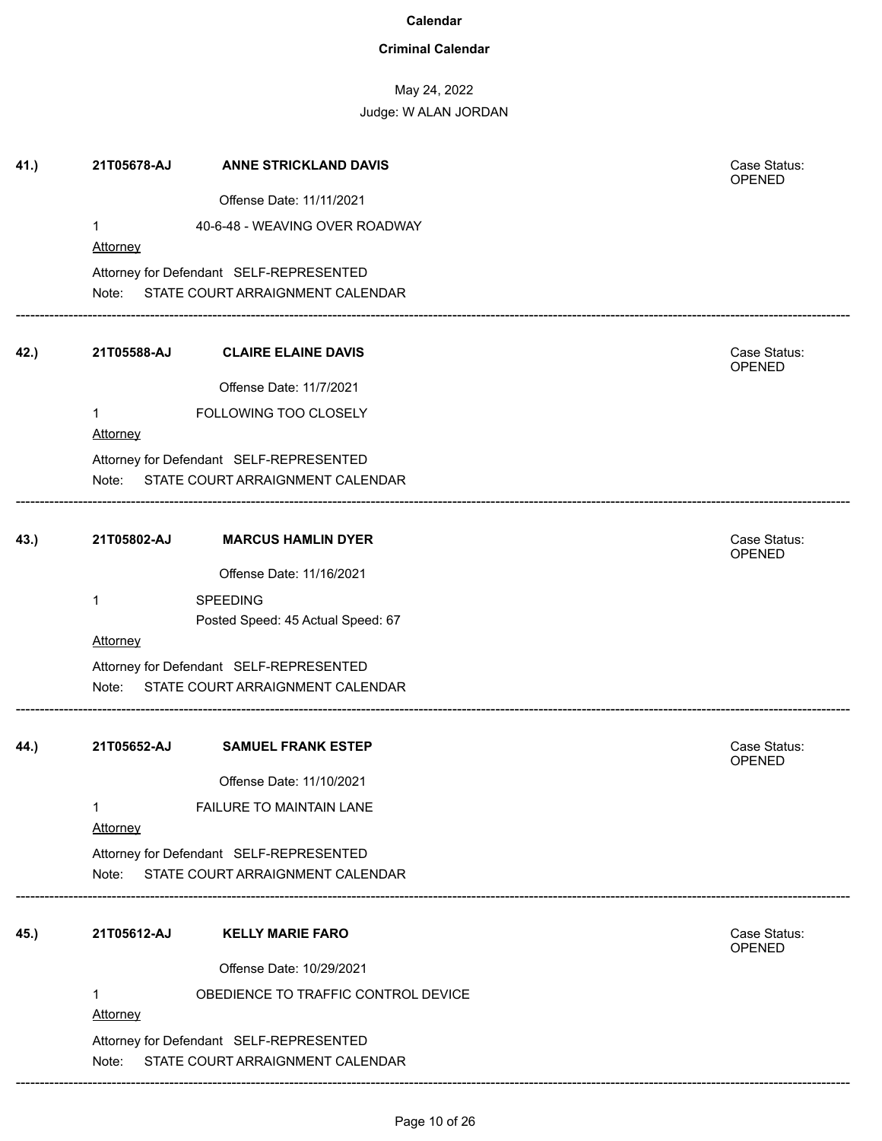### **Criminal Calendar**

# May 24, 2022

| 41.) | 21T05678-AJ   | <b>ANNE STRICKLAND DAVIS</b>                                                | Case Status:<br>OPENED |
|------|---------------|-----------------------------------------------------------------------------|------------------------|
|      |               | Offense Date: 11/11/2021                                                    |                        |
|      | 1             | 40-6-48 - WEAVING OVER ROADWAY                                              |                        |
|      | Attorney      |                                                                             |                        |
|      |               | Attorney for Defendant SELF-REPRESENTED                                     |                        |
|      |               | Note: STATE COURT ARRAIGNMENT CALENDAR                                      |                        |
| 42.) | 21T05588-AJ   | <b>CLAIRE ELAINE DAVIS</b>                                                  | Case Status:<br>OPENED |
|      |               | Offense Date: 11/7/2021                                                     |                        |
|      | 1<br>Attorney | FOLLOWING TOO CLOSELY                                                       |                        |
|      |               | Attorney for Defendant SELF-REPRESENTED                                     |                        |
|      | Note:         | STATE COURT ARRAIGNMENT CALENDAR                                            |                        |
| 43.) | 21T05802-AJ   | <b>MARCUS HAMLIN DYER</b>                                                   | Case Status:<br>OPENED |
|      |               | Offense Date: 11/16/2021                                                    |                        |
|      | 1             | <b>SPEEDING</b>                                                             |                        |
|      |               | Posted Speed: 45 Actual Speed: 67                                           |                        |
|      | Attorney      |                                                                             |                        |
|      |               | Attorney for Defendant SELF-REPRESENTED                                     |                        |
|      | Note:         | STATE COURT ARRAIGNMENT CALENDAR                                            |                        |
| 44.) | 21T05652-AJ   | <b>SAMUEL FRANK ESTEP</b>                                                   | Case Status:<br>OPENED |
|      |               | Offense Date: 11/10/2021                                                    |                        |
|      | 1<br>Attorney | FAILURE TO MAINTAIN LANE                                                    |                        |
|      |               | Attorney for Defendant SELF-REPRESENTED                                     |                        |
|      | Note:         | STATE COURT ARRAIGNMENT CALENDAR                                            |                        |
| 45.) | 21T05612-AJ   | <b>KELLY MARIE FARO</b>                                                     | Case Status:<br>OPENED |
|      |               | Offense Date: 10/29/2021                                                    |                        |
|      | 1<br>Attorney | OBEDIENCE TO TRAFFIC CONTROL DEVICE                                         |                        |
|      | Note:         | Attorney for Defendant SELF-REPRESENTED<br>STATE COURT ARRAIGNMENT CALENDAR |                        |
|      |               |                                                                             |                        |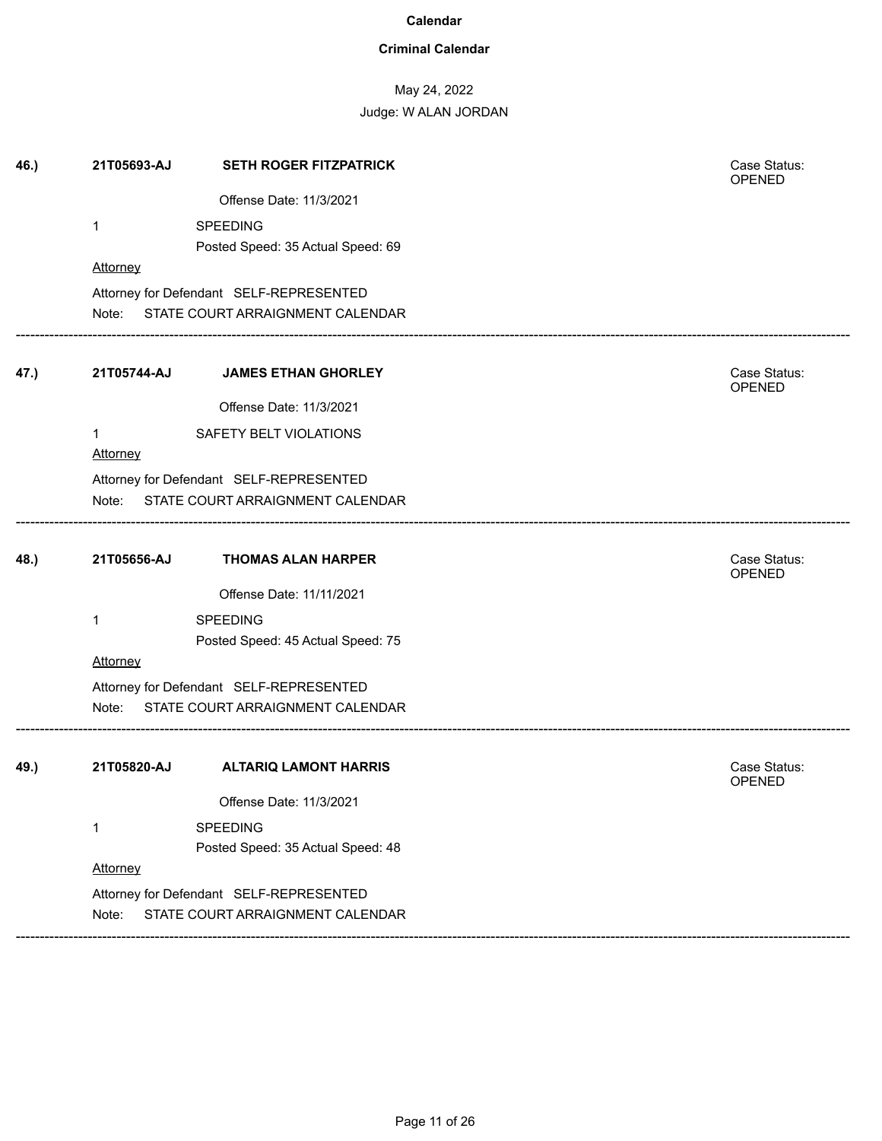### **Criminal Calendar**

# May 24, 2022

| 46.) | 21T05693-AJ | <b>SETH ROGER FITZPATRICK</b>           | Case Status:<br>OPENED        |  |
|------|-------------|-----------------------------------------|-------------------------------|--|
|      |             | Offense Date: 11/3/2021                 |                               |  |
|      | 1           | <b>SPEEDING</b>                         |                               |  |
|      |             | Posted Speed: 35 Actual Speed: 69       |                               |  |
|      | Attorney    |                                         |                               |  |
|      |             | Attorney for Defendant SELF-REPRESENTED |                               |  |
|      | Note:       | STATE COURT ARRAIGNMENT CALENDAR        |                               |  |
| 47.) | 21T05744-AJ | <b>JAMES ETHAN GHORLEY</b>              | Case Status:<br><b>OPENED</b> |  |
|      |             | Offense Date: 11/3/2021                 |                               |  |
|      | 1           | SAFETY BELT VIOLATIONS                  |                               |  |
|      | Attorney    |                                         |                               |  |
|      |             | Attorney for Defendant SELF-REPRESENTED |                               |  |
|      | Note:       | STATE COURT ARRAIGNMENT CALENDAR        |                               |  |
| 48.) | 21T05656-AJ | <b>THOMAS ALAN HARPER</b>               | Case Status:<br>OPENED        |  |
|      |             | Offense Date: 11/11/2021                |                               |  |
|      | 1           | <b>SPEEDING</b>                         |                               |  |
|      |             | Posted Speed: 45 Actual Speed: 75       |                               |  |
|      | Attorney    |                                         |                               |  |
|      |             | Attorney for Defendant SELF-REPRESENTED |                               |  |
|      | Note:       | STATE COURT ARRAIGNMENT CALENDAR        |                               |  |
| 49.) | 21T05820-AJ | <b>ALTARIQ LAMONT HARRIS</b>            | Case Status:<br><b>OPENED</b> |  |
|      |             | Offense Date: 11/3/2021                 |                               |  |
|      | 1           | <b>SPEEDING</b>                         |                               |  |
|      |             | Posted Speed: 35 Actual Speed: 48       |                               |  |
|      | Attorney    |                                         |                               |  |
|      |             | Attorney for Defendant SELF-REPRESENTED |                               |  |
|      |             |                                         |                               |  |
|      | Note:       | STATE COURT ARRAIGNMENT CALENDAR        |                               |  |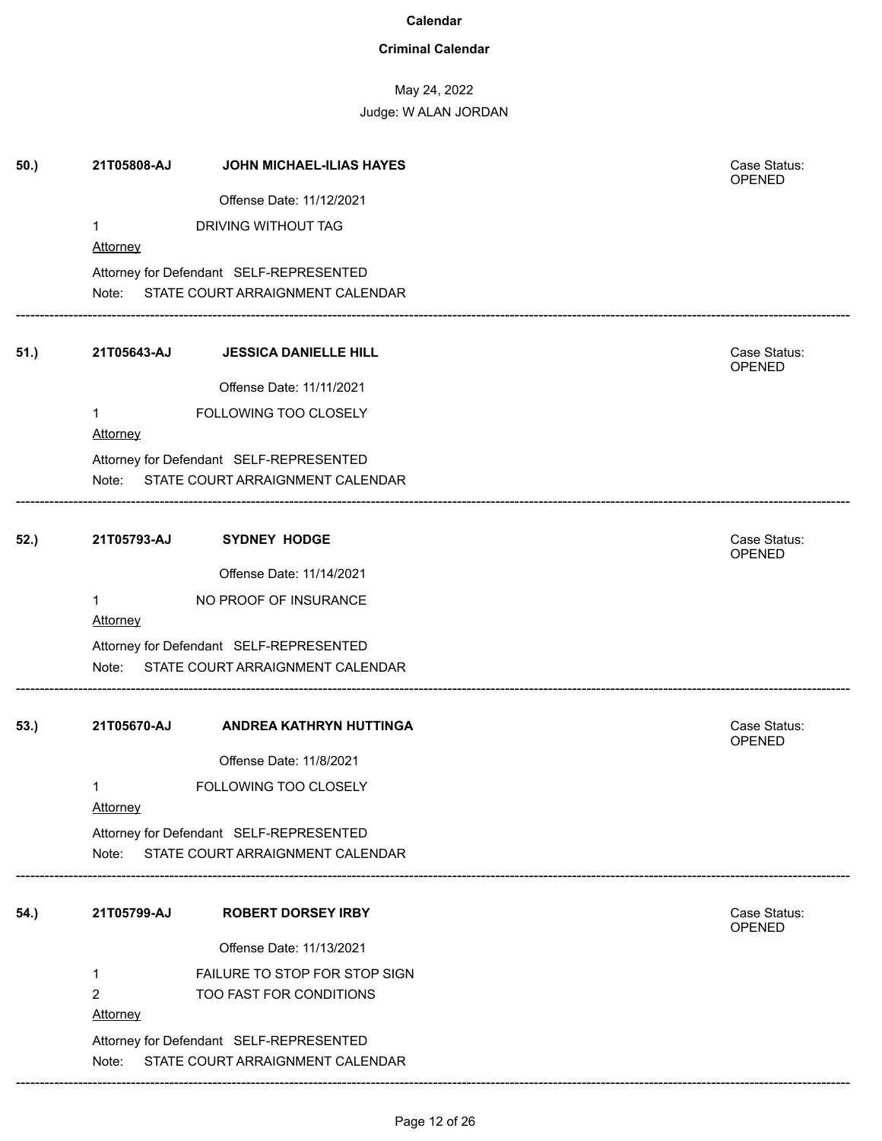### **Criminal Calendar**

# May 24, 2022

Judge: W ALAN JORDAN

| 50.) | 21T05808-AJ          | JOHN MICHAEL-ILIAS HAYES                                                    | Case Status:<br>OPENED        |
|------|----------------------|-----------------------------------------------------------------------------|-------------------------------|
|      |                      | Offense Date: 11/12/2021                                                    |                               |
|      | 1                    | DRIVING WITHOUT TAG                                                         |                               |
|      | Attorney             |                                                                             |                               |
|      |                      | Attorney for Defendant SELF-REPRESENTED                                     |                               |
|      |                      | Note: STATE COURT ARRAIGNMENT CALENDAR                                      |                               |
| 51.) | 21T05643-AJ          | <b>JESSICA DANIELLE HILL</b>                                                | Case Status:<br>OPENED        |
|      |                      | Offense Date: 11/11/2021                                                    |                               |
|      | 1<br><b>Attorney</b> | FOLLOWING TOO CLOSELY                                                       |                               |
|      |                      | Attorney for Defendant SELF-REPRESENTED                                     |                               |
|      | Note:                | STATE COURT ARRAIGNMENT CALENDAR                                            |                               |
| 52.) | 21T05793-AJ          | <b>SYDNEY HODGE</b>                                                         | Case Status:<br>OPENED        |
|      |                      | Offense Date: 11/14/2021                                                    |                               |
|      | 1<br><b>Attorney</b> | NO PROOF OF INSURANCE                                                       |                               |
|      | Note:                | Attorney for Defendant SELF-REPRESENTED<br>STATE COURT ARRAIGNMENT CALENDAR |                               |
| 53.) | 21T05670-AJ          | <b>ANDREA KATHRYN HUTTINGA</b>                                              | Case Status:<br><b>OPENED</b> |
|      |                      | Offense Date: 11/8/2021                                                     |                               |
|      | 1<br><b>Attorney</b> | FOLLOWING TOO CLOSELY                                                       |                               |
|      | Note:                | Attorney for Defendant SELF-REPRESENTED<br>STATE COURT ARRAIGNMENT CALENDAR |                               |
| 54.) | 21T05799-AJ          | <b>ROBERT DORSEY IRBY</b>                                                   | Case Status:                  |
|      |                      |                                                                             | OPENED                        |
|      |                      | Offense Date: 11/13/2021                                                    |                               |
|      | 1                    | FAILURE TO STOP FOR STOP SIGN                                               |                               |
|      | $\overline{2}$       | TOO FAST FOR CONDITIONS                                                     |                               |
|      | Attorney             |                                                                             |                               |
|      | Note:                | Attorney for Defendant SELF-REPRESENTED<br>STATE COURT ARRAIGNMENT CALENDAR |                               |
|      |                      |                                                                             |                               |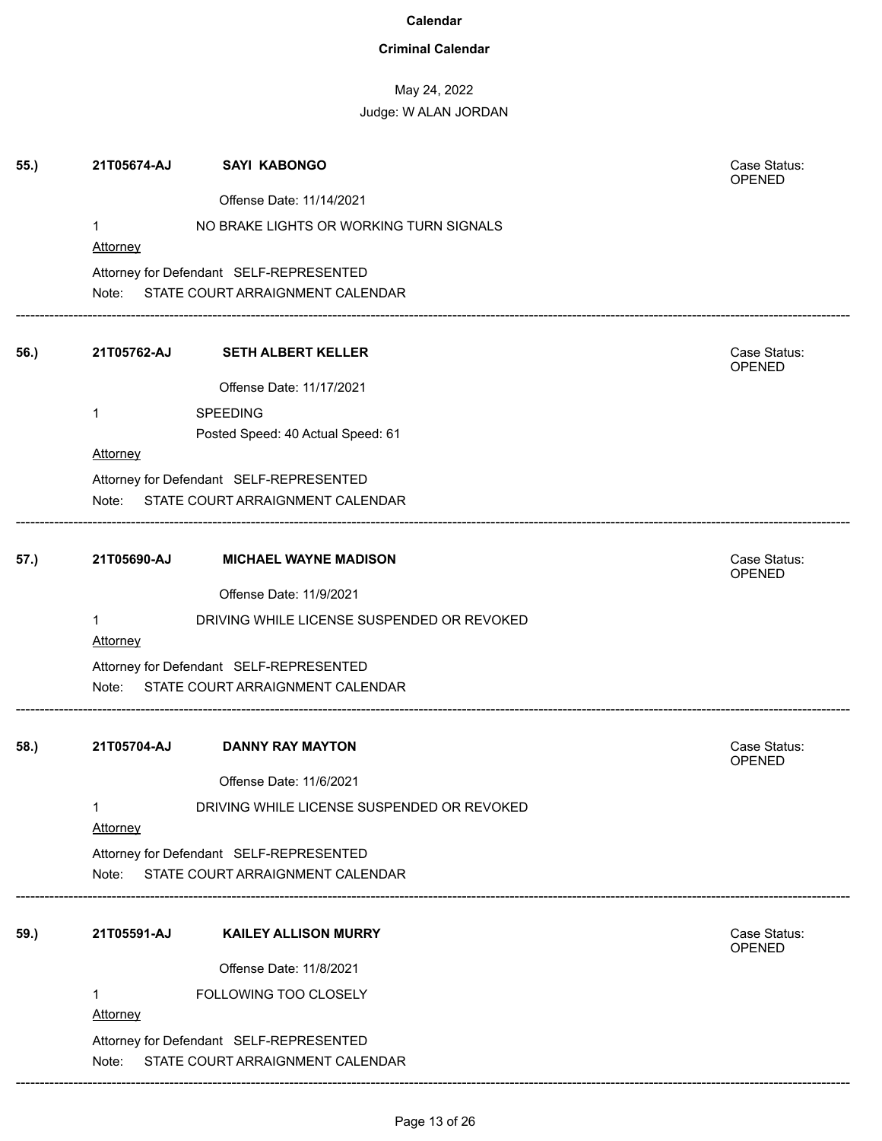### **Criminal Calendar**

# May 24, 2022 Judge: W ALAN JORDAN

|      |                 |                                                                                   | OPENED                        |
|------|-----------------|-----------------------------------------------------------------------------------|-------------------------------|
|      |                 | Offense Date: 11/14/2021                                                          |                               |
|      | 1               | NO BRAKE LIGHTS OR WORKING TURN SIGNALS                                           |                               |
|      | <b>Attorney</b> |                                                                                   |                               |
|      |                 | Attorney for Defendant SELF-REPRESENTED<br>Note: STATE COURT ARRAIGNMENT CALENDAR |                               |
| 56.) | 21T05762-AJ     | <b>SETH ALBERT KELLER</b>                                                         | Case Status:<br>OPENED        |
|      |                 | Offense Date: 11/17/2021                                                          |                               |
|      | $\mathbf{1}$    | <b>SPEEDING</b>                                                                   |                               |
|      |                 | Posted Speed: 40 Actual Speed: 61                                                 |                               |
|      | <b>Attorney</b> |                                                                                   |                               |
|      |                 | Attorney for Defendant SELF-REPRESENTED                                           |                               |
|      |                 | Note: STATE COURT ARRAIGNMENT CALENDAR                                            |                               |
| 57.) | 21T05690-AJ     | <b>MICHAEL WAYNE MADISON</b>                                                      | Case Status:<br><b>OPENED</b> |
|      |                 | Offense Date: 11/9/2021                                                           |                               |
|      | $\mathbf{1}$    | DRIVING WHILE LICENSE SUSPENDED OR REVOKED                                        |                               |
|      | <b>Attorney</b> |                                                                                   |                               |
|      |                 | Attorney for Defendant SELF-REPRESENTED<br>Note: STATE COURT ARRAIGNMENT CALENDAR |                               |
| 58.) | 21T05704-AJ     | <b>DANNY RAY MAYTON</b>                                                           | Case Status:<br><b>OPENED</b> |
|      |                 | Offense Date: 11/6/2021                                                           |                               |
|      | 1<br>Attorney   | DRIVING WHILE LICENSE SUSPENDED OR REVOKED                                        |                               |
|      |                 | Attorney for Defendant SELF-REPRESENTED                                           |                               |
|      | Note:           | STATE COURT ARRAIGNMENT CALENDAR                                                  |                               |
| 59.) | 21T05591-AJ     | <b>KAILEY ALLISON MURRY</b>                                                       | Case Status:<br>OPENED        |
|      |                 | Offense Date: 11/8/2021                                                           |                               |
|      | 1               | FOLLOWING TOO CLOSELY                                                             |                               |
|      | Attorney        |                                                                                   |                               |
|      | Note:           | Attorney for Defendant SELF-REPRESENTED<br>STATE COURT ARRAIGNMENT CALENDAR       |                               |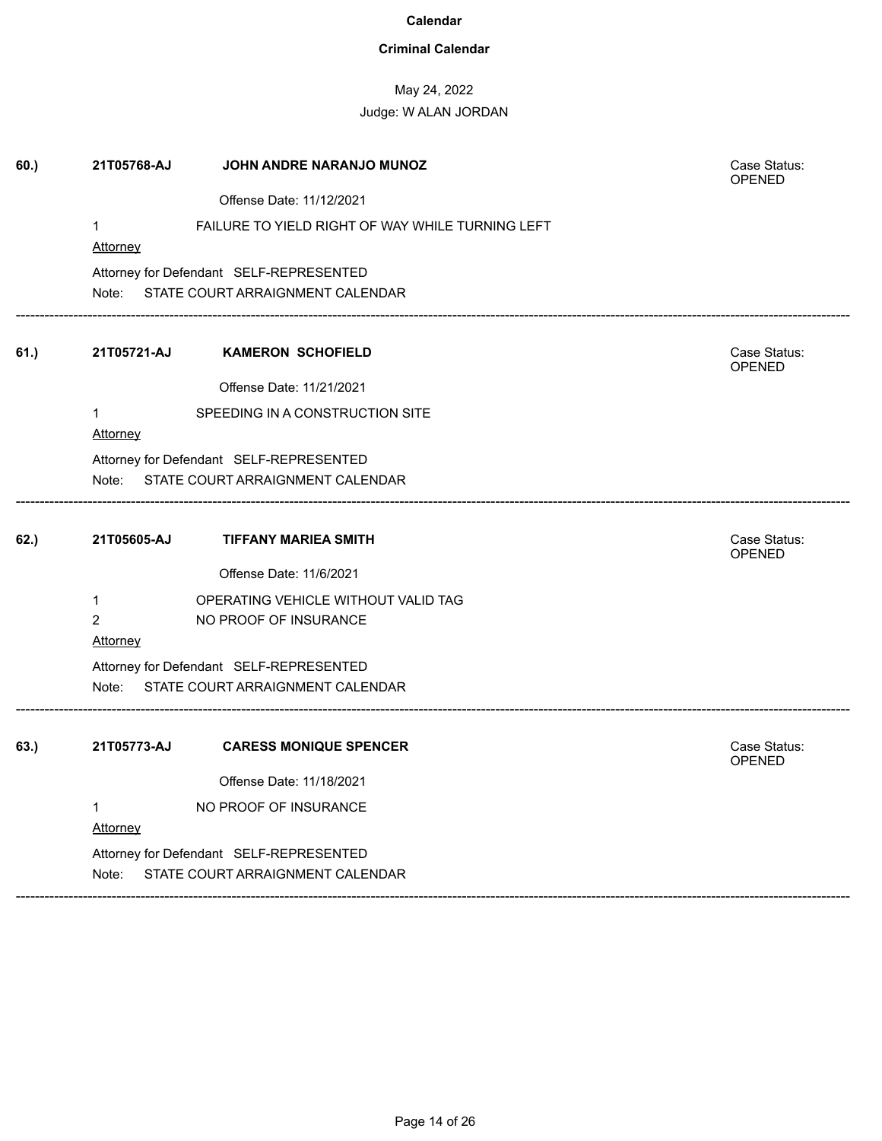### **Criminal Calendar**

## May 24, 2022

| 60.) | 21T05768-AJ             | JOHN ANDRE NARANJO MUNOZ                         | Case Status:<br><b>OPENED</b> |
|------|-------------------------|--------------------------------------------------|-------------------------------|
|      |                         | Offense Date: 11/12/2021                         |                               |
|      | $\mathbf{1}$            | FAILURE TO YIELD RIGHT OF WAY WHILE TURNING LEFT |                               |
|      | Attorney                |                                                  |                               |
|      |                         | Attorney for Defendant SELF-REPRESENTED          |                               |
|      |                         | Note: STATE COURT ARRAIGNMENT CALENDAR           |                               |
| 61.) | 21T05721-AJ             | <b>KAMERON SCHOFIELD</b>                         | Case Status:<br>OPENED        |
|      |                         | Offense Date: 11/21/2021                         |                               |
|      | $\mathbf 1$<br>Attorney | SPEEDING IN A CONSTRUCTION SITE                  |                               |
|      |                         | Attorney for Defendant SELF-REPRESENTED          |                               |
|      | Note:                   | STATE COURT ARRAIGNMENT CALENDAR                 |                               |
| 62.) | 21T05605-AJ             | <b>TIFFANY MARIEA SMITH</b>                      | Case Status:<br>OPENED        |
|      |                         | Offense Date: 11/6/2021                          |                               |
|      | $\mathbf{1}$            | OPERATING VEHICLE WITHOUT VALID TAG              |                               |
|      | $\overline{2}$          | NO PROOF OF INSURANCE                            |                               |
|      | <b>Attorney</b>         |                                                  |                               |
|      |                         | Attorney for Defendant SELF-REPRESENTED          |                               |
|      | Note:                   | STATE COURT ARRAIGNMENT CALENDAR                 |                               |
| 63.) | 21T05773-AJ             | <b>CARESS MONIQUE SPENCER</b>                    | Case Status:<br><b>OPENED</b> |
|      |                         | Offense Date: 11/18/2021                         |                               |
|      | 1                       | NO PROOF OF INSURANCE                            |                               |
|      | <b>Attorney</b>         |                                                  |                               |
|      |                         | Attorney for Defendant SELF-REPRESENTED          |                               |
|      | Note:                   | STATE COURT ARRAIGNMENT CALENDAR                 |                               |
|      |                         |                                                  |                               |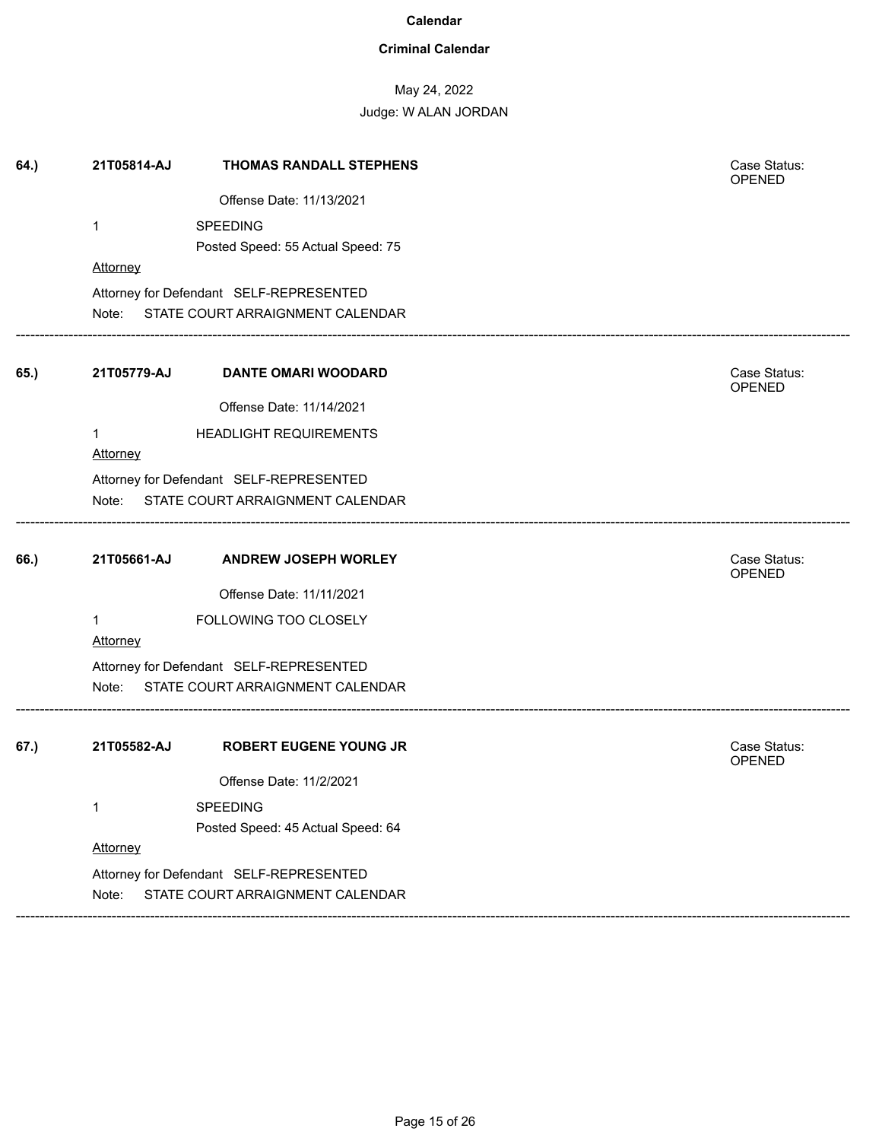### **Criminal Calendar**

## May 24, 2022

| 64.) | 21T05814-AJ     | THOMAS RANDALL STEPHENS                                                     | Case Status:<br>OPENED        |
|------|-----------------|-----------------------------------------------------------------------------|-------------------------------|
|      |                 | Offense Date: 11/13/2021                                                    |                               |
|      | $\mathbf 1$     | <b>SPEEDING</b>                                                             |                               |
|      |                 | Posted Speed: 55 Actual Speed: 75                                           |                               |
|      | Attorney        |                                                                             |                               |
|      |                 | Attorney for Defendant SELF-REPRESENTED                                     |                               |
|      | Note:           | STATE COURT ARRAIGNMENT CALENDAR                                            |                               |
| 65.) | 21T05779-AJ     | <b>DANTE OMARI WOODARD</b>                                                  | Case Status:<br>OPENED        |
|      |                 | Offense Date: 11/14/2021                                                    |                               |
|      | 1<br>Attorney   | <b>HEADLIGHT REQUIREMENTS</b>                                               |                               |
|      |                 | Attorney for Defendant SELF-REPRESENTED                                     |                               |
|      | Note:           | STATE COURT ARRAIGNMENT CALENDAR                                            |                               |
| 66.) | 21T05661-AJ     | <b>ANDREW JOSEPH WORLEY</b>                                                 | Case Status:<br><b>OPENED</b> |
|      |                 | Offense Date: 11/11/2021                                                    |                               |
|      | 1               | FOLLOWING TOO CLOSELY                                                       |                               |
|      | <b>Attorney</b> |                                                                             |                               |
|      | Note:           | Attorney for Defendant SELF-REPRESENTED<br>STATE COURT ARRAIGNMENT CALENDAR |                               |
|      |                 |                                                                             |                               |
| 67.) | 21T05582-AJ     | <b>ROBERT EUGENE YOUNG JR</b>                                               | Case Status:<br><b>OPENED</b> |
|      |                 | Offense Date: 11/2/2021                                                     |                               |
|      | $\mathbf{1}$    | SPEEDING                                                                    |                               |
|      |                 | Posted Speed: 45 Actual Speed: 64                                           |                               |
|      | Attorney        |                                                                             |                               |
|      |                 |                                                                             |                               |
|      |                 | Attorney for Defendant SELF-REPRESENTED                                     |                               |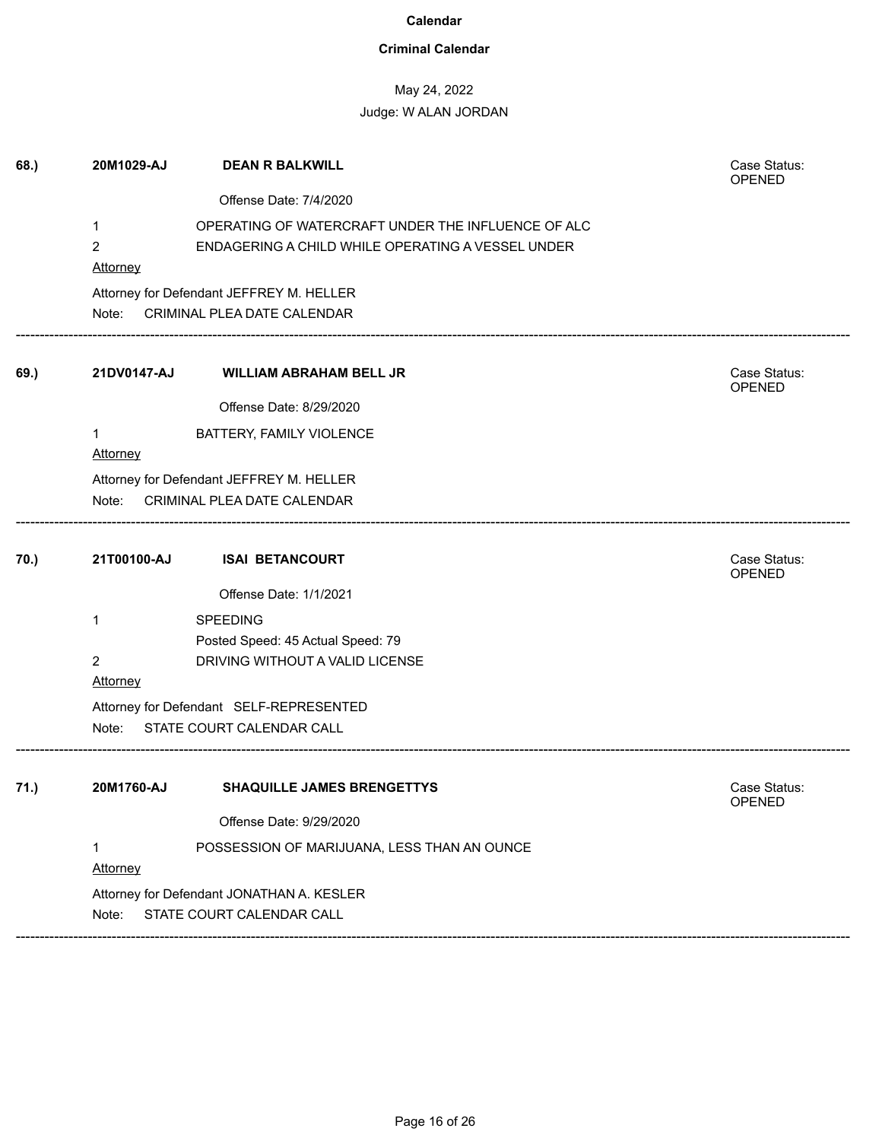### **Criminal Calendar**

## May 24, 2022 Judge: W ALAN JORDAN

| 68.) | 20M1029-AJ      | <b>DEAN R BALKWILL</b>                                               | Case Status:<br>OPENED |
|------|-----------------|----------------------------------------------------------------------|------------------------|
|      |                 | Offense Date: 7/4/2020                                               |                        |
|      | 1               | OPERATING OF WATERCRAFT UNDER THE INFLUENCE OF ALC                   |                        |
|      | $\overline{2}$  | ENDAGERING A CHILD WHILE OPERATING A VESSEL UNDER                    |                        |
|      | Attorney        |                                                                      |                        |
|      |                 | Attorney for Defendant JEFFREY M. HELLER                             |                        |
|      |                 | Note: CRIMINAL PLEA DATE CALENDAR                                    |                        |
| 69.) | 21DV0147-AJ     | <b>WILLIAM ABRAHAM BELL JR</b>                                       | Case Status:<br>OPENED |
|      |                 | Offense Date: 8/29/2020                                              |                        |
|      |                 | BATTERY, FAMILY VIOLENCE                                             |                        |
|      | <b>Attorney</b> |                                                                      |                        |
|      |                 | Attorney for Defendant JEFFREY M. HELLER                             |                        |
|      | Note:           | CRIMINAL PLEA DATE CALENDAR                                          |                        |
| 70.) | 21T00100-AJ     | <b>ISAI BETANCOURT</b>                                               | Case Status:           |
|      |                 |                                                                      | <b>OPENED</b>          |
|      |                 | Offense Date: 1/1/2021                                               |                        |
|      | 1               | <b>SPEEDING</b>                                                      |                        |
|      |                 | Posted Speed: 45 Actual Speed: 79                                    |                        |
|      | $\overline{2}$  | DRIVING WITHOUT A VALID LICENSE                                      |                        |
|      | <b>Attorney</b> |                                                                      |                        |
|      | Note:           | Attorney for Defendant SELF-REPRESENTED<br>STATE COURT CALENDAR CALL |                        |
|      |                 |                                                                      |                        |
| 71.) | 20M1760-AJ      | <b>SHAQUILLE JAMES BRENGETTYS</b>                                    | Case Status:<br>OPENED |
|      |                 | Offense Date: 9/29/2020                                              |                        |
|      | 1               | POSSESSION OF MARIJUANA, LESS THAN AN OUNCE                          |                        |
|      | Attorney        |                                                                      |                        |
|      |                 | Attorney for Defendant JONATHAN A. KESLER                            |                        |
|      | Note:           | STATE COURT CALENDAR CALL                                            |                        |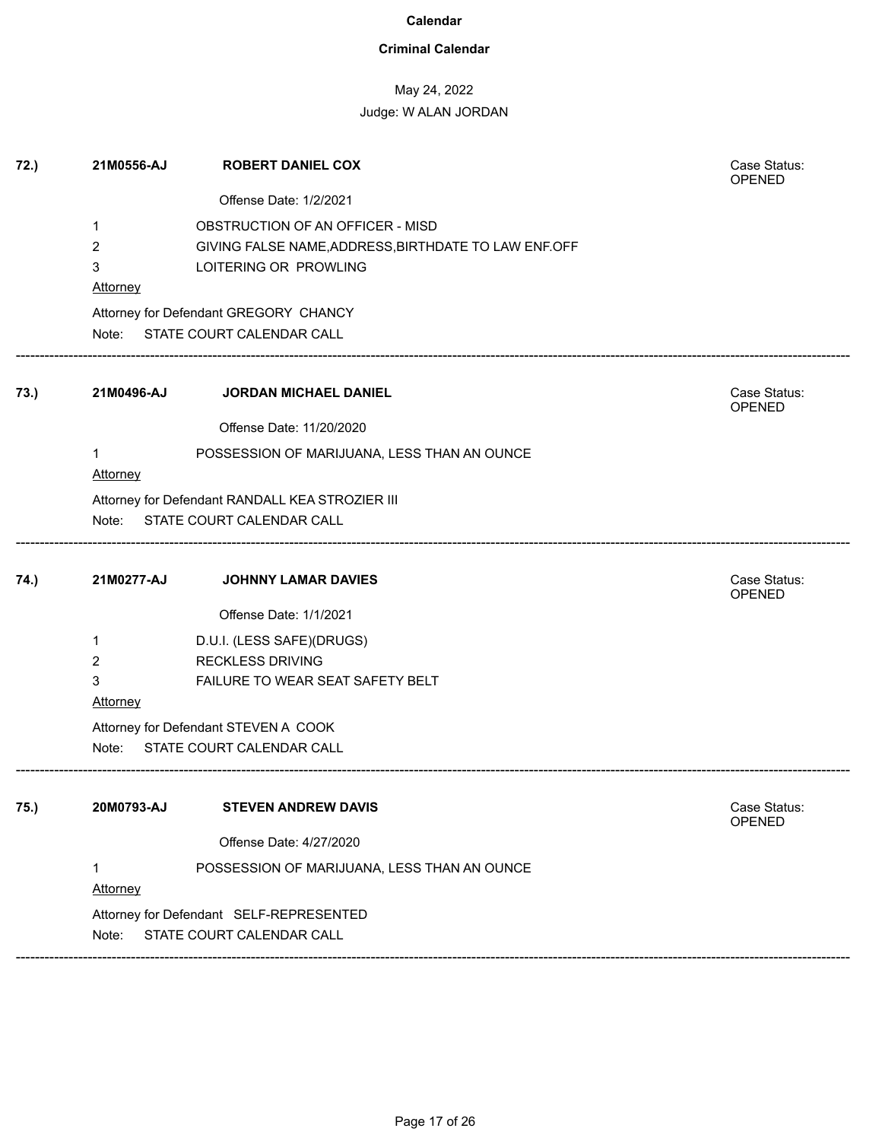### **Criminal Calendar**

## May 24, 2022

### Judge: W ALAN JORDAN

| 72.) | 21M0556-AJ | <b>ROBERT DANIEL COX</b>                             | Case Status:<br>OPENED |
|------|------------|------------------------------------------------------|------------------------|
|      |            | Offense Date: 1/2/2021                               |                        |
|      | 1          | OBSTRUCTION OF AN OFFICER - MISD                     |                        |
|      | 2          | GIVING FALSE NAME, ADDRESS, BIRTHDATE TO LAW ENF.OFF |                        |
|      | 3          | LOITERING OR PROWLING                                |                        |
|      | Attorney   |                                                      |                        |
|      |            | Attorney for Defendant GREGORY CHANCY                |                        |
|      |            | Note: STATE COURT CALENDAR CALL                      |                        |
| 73.) | 21M0496-AJ | <b>JORDAN MICHAEL DANIEL</b>                         | Case Status:<br>OPENED |
|      |            | Offense Date: 11/20/2020                             |                        |
|      | 1          | POSSESSION OF MARIJUANA, LESS THAN AN OUNCE          |                        |
|      | Attorney   |                                                      |                        |
|      |            | Attorney for Defendant RANDALL KEA STROZIER III      |                        |
|      | Note:      | STATE COURT CALENDAR CALL                            |                        |
| 74.) | 21M0277-AJ | <b>JOHNNY LAMAR DAVIES</b>                           | Case Status:<br>OPENED |
|      |            | Offense Date: 1/1/2021                               |                        |
|      | 1          | D.U.I. (LESS SAFE)(DRUGS)                            |                        |
|      | 2          | <b>RECKLESS DRIVING</b>                              |                        |
|      | 3          | FAILURE TO WEAR SEAT SAFETY BELT                     |                        |
|      | Attorney   |                                                      |                        |
|      |            | Attorney for Defendant STEVEN A COOK                 |                        |
|      | Note:      | STATE COURT CALENDAR CALL                            |                        |
| 75.) | 20M0793-AJ | <b>STEVEN ANDREW DAVIS</b>                           | Case Status:           |
|      |            |                                                      | <b>OPENED</b>          |
|      |            | Offense Date: 4/27/2020                              |                        |
|      | 1          | POSSESSION OF MARIJUANA, LESS THAN AN OUNCE          |                        |
|      | Attorney   |                                                      |                        |
|      |            | Attorney for Defendant SELF-REPRESENTED              |                        |
|      | Note:      | STATE COURT CALENDAR CALL                            |                        |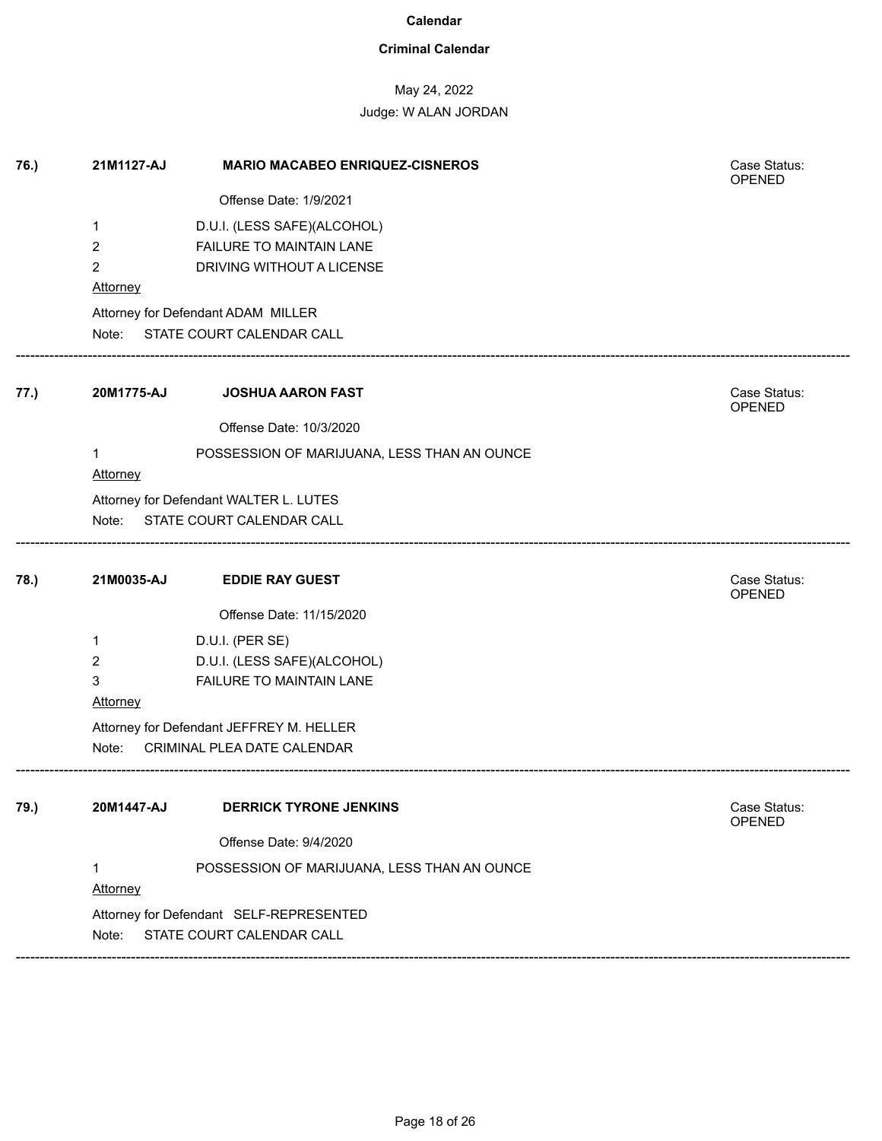### **Criminal Calendar**

## May 24, 2022

| 76.) | 21M1127-AJ     | <b>MARIO MACABEO ENRIQUEZ-CISNEROS</b>      | Case Status:<br>OPENED |
|------|----------------|---------------------------------------------|------------------------|
|      |                | Offense Date: 1/9/2021                      |                        |
|      | 1              | D.U.I. (LESS SAFE)(ALCOHOL)                 |                        |
|      | $\overline{2}$ | FAILURE TO MAINTAIN LANE                    |                        |
|      | $\overline{2}$ | DRIVING WITHOUT A LICENSE                   |                        |
|      | Attorney       |                                             |                        |
|      |                | Attorney for Defendant ADAM MILLER          |                        |
|      | Note:          | STATE COURT CALENDAR CALL                   |                        |
| 77.) | 20M1775-AJ     | <b>JOSHUA AARON FAST</b>                    | Case Status:<br>OPENED |
|      |                | Offense Date: 10/3/2020                     |                        |
|      | 1              | POSSESSION OF MARIJUANA, LESS THAN AN OUNCE |                        |
|      | Attorney       |                                             |                        |
|      |                | Attorney for Defendant WALTER L. LUTES      |                        |
|      |                | Note: STATE COURT CALENDAR CALL             |                        |
| 78.) | 21M0035-AJ     | <b>EDDIE RAY GUEST</b>                      | Case Status:<br>OPENED |
|      |                | Offense Date: 11/15/2020                    |                        |
|      | 1              | D.U.I. (PER SE)                             |                        |
|      | 2              | D.U.I. (LESS SAFE)(ALCOHOL)                 |                        |
|      | 3              | FAILURE TO MAINTAIN LANE                    |                        |
|      | Attorney       |                                             |                        |
|      |                | Attorney for Defendant JEFFREY M. HELLER    |                        |
|      | Note:          | CRIMINAL PLEA DATE CALENDAR                 |                        |
| 79.) | 20M1447-AJ     | <b>DERRICK TYRONE JENKINS</b>               | Case Status:           |
|      |                |                                             | OPENED                 |
|      |                | Offense Date: 9/4/2020                      |                        |
|      | 1              | POSSESSION OF MARIJUANA, LESS THAN AN OUNCE |                        |
|      | Attorney       |                                             |                        |
|      |                | Attorney for Defendant SELF-REPRESENTED     |                        |
|      | Note:          | STATE COURT CALENDAR CALL                   |                        |
|      |                |                                             |                        |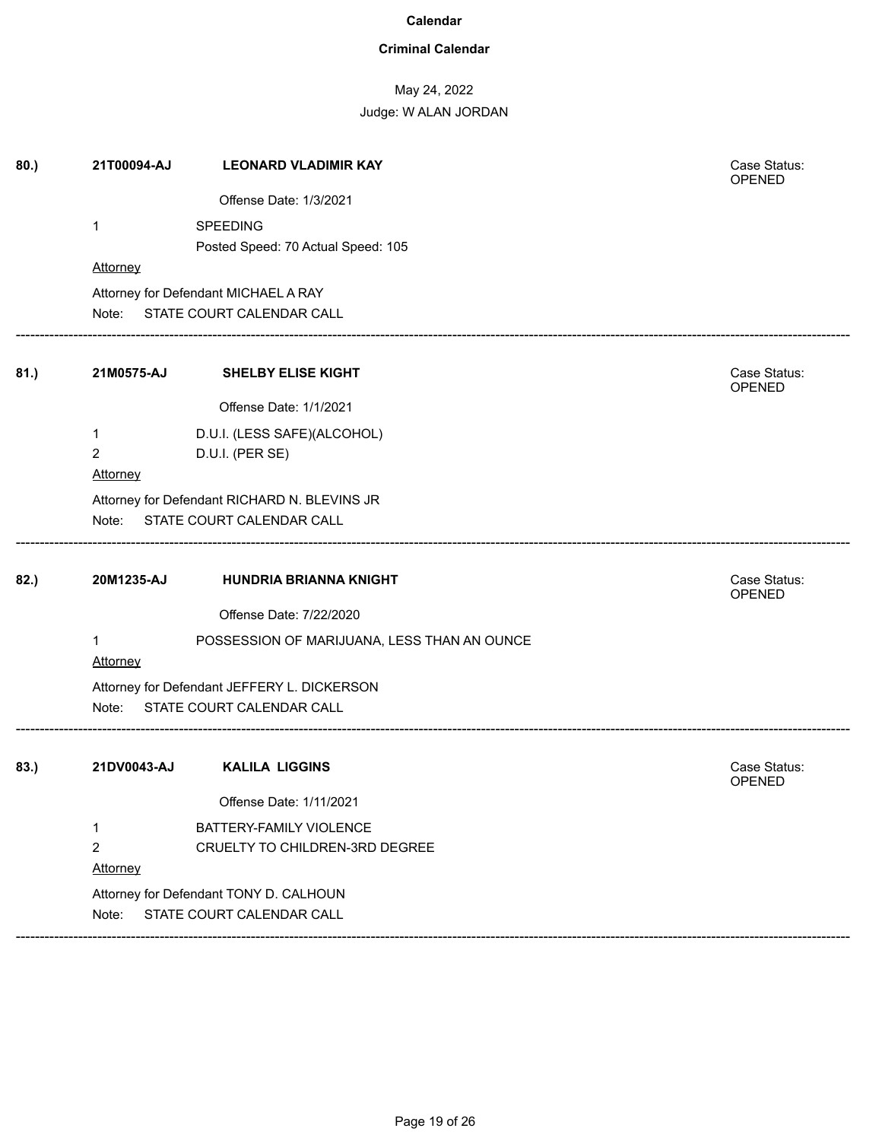### **Criminal Calendar**

# May 24, 2022

| 80.  | 21T00094-AJ    | <b>LEONARD VLADIMIR KAY</b>                  | Case Status:<br>OPENED |
|------|----------------|----------------------------------------------|------------------------|
|      |                | Offense Date: 1/3/2021                       |                        |
|      | 1              | SPEEDING                                     |                        |
|      |                | Posted Speed: 70 Actual Speed: 105           |                        |
|      | Attorney       |                                              |                        |
|      |                | Attorney for Defendant MICHAEL A RAY         |                        |
|      | Note:          | STATE COURT CALENDAR CALL                    |                        |
| 81.) | 21M0575-AJ     | <b>SHELBY ELISE KIGHT</b>                    | Case Status:<br>OPENED |
|      |                | Offense Date: 1/1/2021                       |                        |
|      | 1              | D.U.I. (LESS SAFE)(ALCOHOL)                  |                        |
|      | $\overline{2}$ | D.U.I. (PER SE)                              |                        |
|      | Attorney       |                                              |                        |
|      |                | Attorney for Defendant RICHARD N. BLEVINS JR |                        |
|      | Note:          | STATE COURT CALENDAR CALL                    |                        |
| 82.) | 20M1235-AJ     | HUNDRIA BRIANNA KNIGHT                       | Case Status:<br>OPENED |
|      |                | Offense Date: 7/22/2020                      |                        |
|      | 1<br>Attorney  | POSSESSION OF MARIJUANA, LESS THAN AN OUNCE  |                        |
|      |                | Attorney for Defendant JEFFERY L. DICKERSON  |                        |
|      | Note:          | STATE COURT CALENDAR CALL                    |                        |
| 83.  | 21DV0043-AJ    | <b>KALILA LIGGINS</b>                        | Case Status:<br>OPENED |
|      |                | Offense Date: 1/11/2021                      |                        |
|      | 1              | BATTERY-FAMILY VIOLENCE                      |                        |
|      | $\overline{2}$ | CRUELTY TO CHILDREN-3RD DEGREE               |                        |
|      | Attorney       |                                              |                        |
|      |                | Attorney for Defendant TONY D. CALHOUN       |                        |
|      | Note:          | STATE COURT CALENDAR CALL                    |                        |
|      |                |                                              |                        |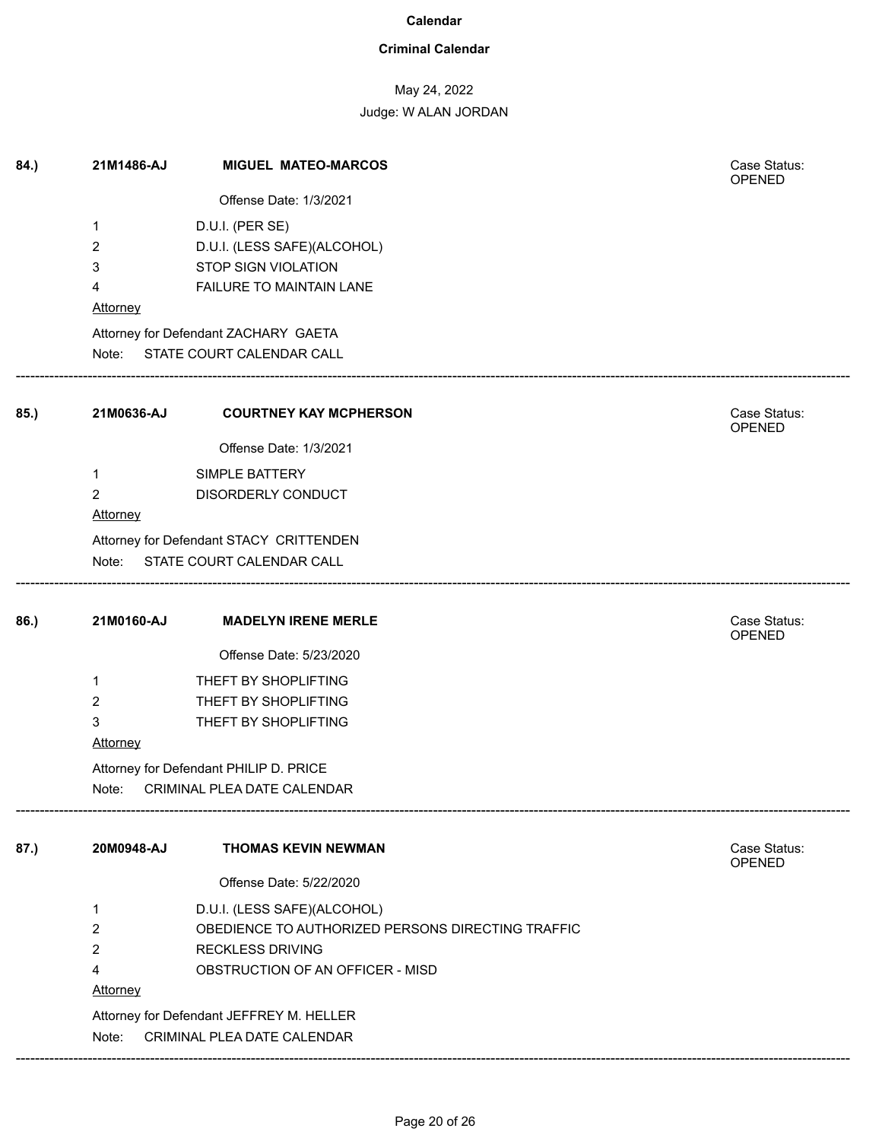### **Criminal Calendar**

# May 24, 2022

Judge: W ALAN JORDAN

| 84.) | 21M1486-AJ      | <b>MIGUEL MATEO-MARCOS</b>                        | Case Status:<br>OPENED        |
|------|-----------------|---------------------------------------------------|-------------------------------|
|      |                 | Offense Date: 1/3/2021                            |                               |
|      | 1               | D.U.I. (PER SE)                                   |                               |
|      | 2               | D.U.I. (LESS SAFE)(ALCOHOL)                       |                               |
|      | 3               | STOP SIGN VIOLATION                               |                               |
|      | 4               | FAILURE TO MAINTAIN LANE                          |                               |
|      | <b>Attorney</b> |                                                   |                               |
|      |                 | Attorney for Defendant ZACHARY GAETA              |                               |
|      |                 | Note: STATE COURT CALENDAR CALL                   |                               |
| 85.) | 21M0636-AJ      | <b>COURTNEY KAY MCPHERSON</b>                     | Case Status:<br><b>OPENED</b> |
|      |                 | Offense Date: 1/3/2021                            |                               |
|      | 1               | SIMPLE BATTERY                                    |                               |
|      | $\overline{2}$  | DISORDERLY CONDUCT                                |                               |
|      | Attorney        |                                                   |                               |
|      |                 | Attorney for Defendant STACY CRITTENDEN           |                               |
|      |                 | Note: STATE COURT CALENDAR CALL                   |                               |
| 86.) | 21M0160-AJ      | <b>MADELYN IRENE MERLE</b>                        | Case Status:<br><b>OPENED</b> |
|      |                 | Offense Date: 5/23/2020                           |                               |
|      | 1               | THEFT BY SHOPLIFTING                              |                               |
|      | $\overline{2}$  | THEFT BY SHOPLIFTING                              |                               |
|      | 3               | THEFT BY SHOPLIFTING                              |                               |
|      | Attorney        |                                                   |                               |
|      |                 | Attorney for Defendant PHILIP D. PRICE            |                               |
|      | Note:           | CRIMINAL PLEA DATE CALENDAR                       |                               |
| 87.) | 20M0948-AJ      | <b>THOMAS KEVIN NEWMAN</b>                        | Case Status:<br><b>OPENED</b> |
|      |                 | Offense Date: 5/22/2020                           |                               |
|      | 1               | D.U.I. (LESS SAFE)(ALCOHOL)                       |                               |
|      | $\overline{2}$  | OBEDIENCE TO AUTHORIZED PERSONS DIRECTING TRAFFIC |                               |
|      | 2               | <b>RECKLESS DRIVING</b>                           |                               |
|      | 4               | OBSTRUCTION OF AN OFFICER - MISD                  |                               |
|      | Attorney        |                                                   |                               |
|      |                 | Attorney for Defendant JEFFREY M. HELLER          |                               |
|      | Note:           | CRIMINAL PLEA DATE CALENDAR                       |                               |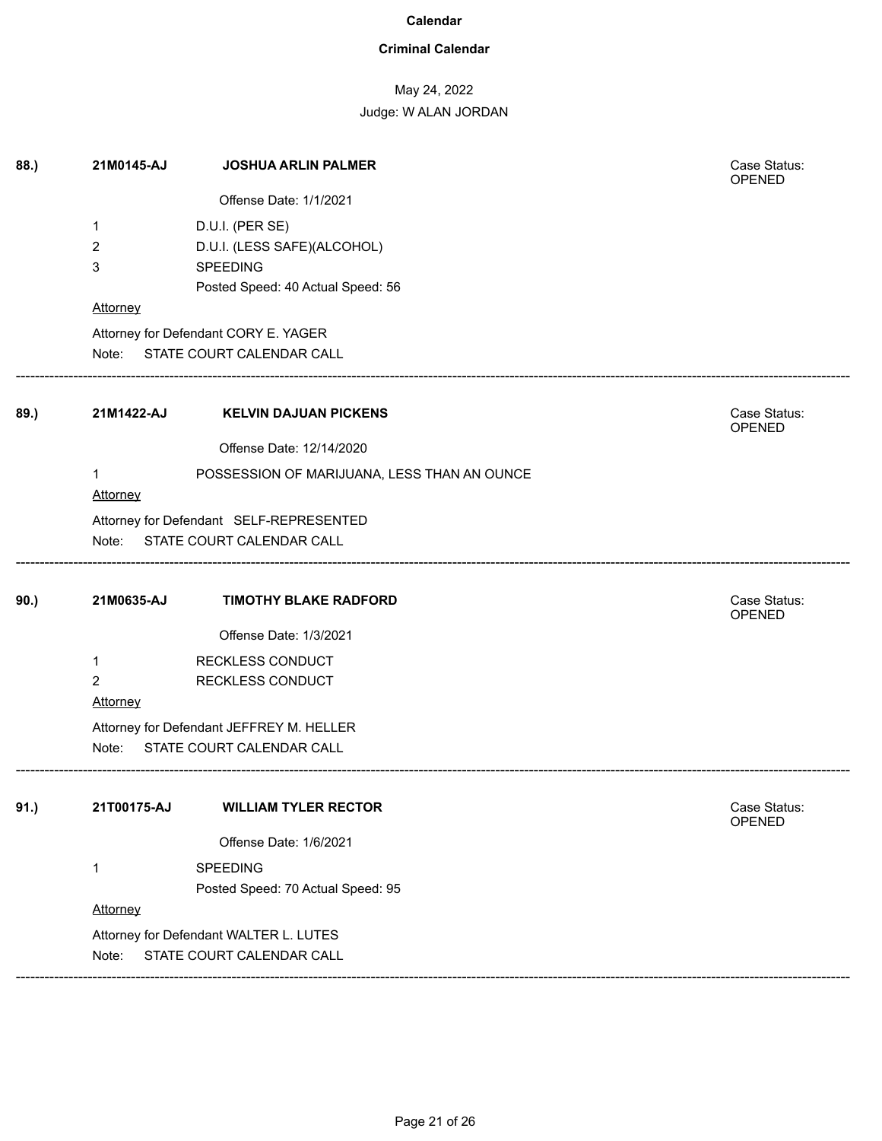### **Criminal Calendar**

### May 24, 2022

| 88.) | 21M0145-AJ     | <b>JOSHUA ARLIN PALMER</b>                  | Case Status:<br>OPENED |
|------|----------------|---------------------------------------------|------------------------|
|      |                | Offense Date: 1/1/2021                      |                        |
|      | 1              | D.U.I. (PER SE)                             |                        |
|      | 2              | D.U.I. (LESS SAFE)(ALCOHOL)                 |                        |
|      | 3              | <b>SPEEDING</b>                             |                        |
|      |                | Posted Speed: 40 Actual Speed: 56           |                        |
|      | Attorney       |                                             |                        |
|      |                | Attorney for Defendant CORY E. YAGER        |                        |
|      | Note:          | STATE COURT CALENDAR CALL                   |                        |
| 89.) | 21M1422-AJ     | <b>KELVIN DAJUAN PICKENS</b>                | Case Status:<br>OPENED |
|      |                | Offense Date: 12/14/2020                    |                        |
|      | 1              | POSSESSION OF MARIJUANA, LESS THAN AN OUNCE |                        |
|      | Attorney       |                                             |                        |
|      |                | Attorney for Defendant SELF-REPRESENTED     |                        |
|      |                | Note: STATE COURT CALENDAR CALL             |                        |
|      |                |                                             |                        |
| 90.) | 21M0635-AJ     | <b>TIMOTHY BLAKE RADFORD</b>                | Case Status:<br>OPENED |
|      |                | Offense Date: 1/3/2021                      |                        |
|      | $\mathbf{1}$   | RECKLESS CONDUCT                            |                        |
|      | $\overline{2}$ | RECKLESS CONDUCT                            |                        |
|      | Attorney       |                                             |                        |
|      |                | Attorney for Defendant JEFFREY M. HELLER    |                        |
|      | Note:          | STATE COURT CALENDAR CALL                   |                        |
| 91.) | 21T00175-AJ    | <b>WILLIAM TYLER RECTOR</b>                 | Case Status:<br>OPENED |
|      |                | Offense Date: 1/6/2021                      |                        |
|      | $\mathbf 1$    | SPEEDING                                    |                        |
|      |                | Posted Speed: 70 Actual Speed: 95           |                        |
|      | Attorney       |                                             |                        |
|      |                | Attorney for Defendant WALTER L. LUTES      |                        |
|      | Note:          | STATE COURT CALENDAR CALL                   |                        |
|      |                |                                             |                        |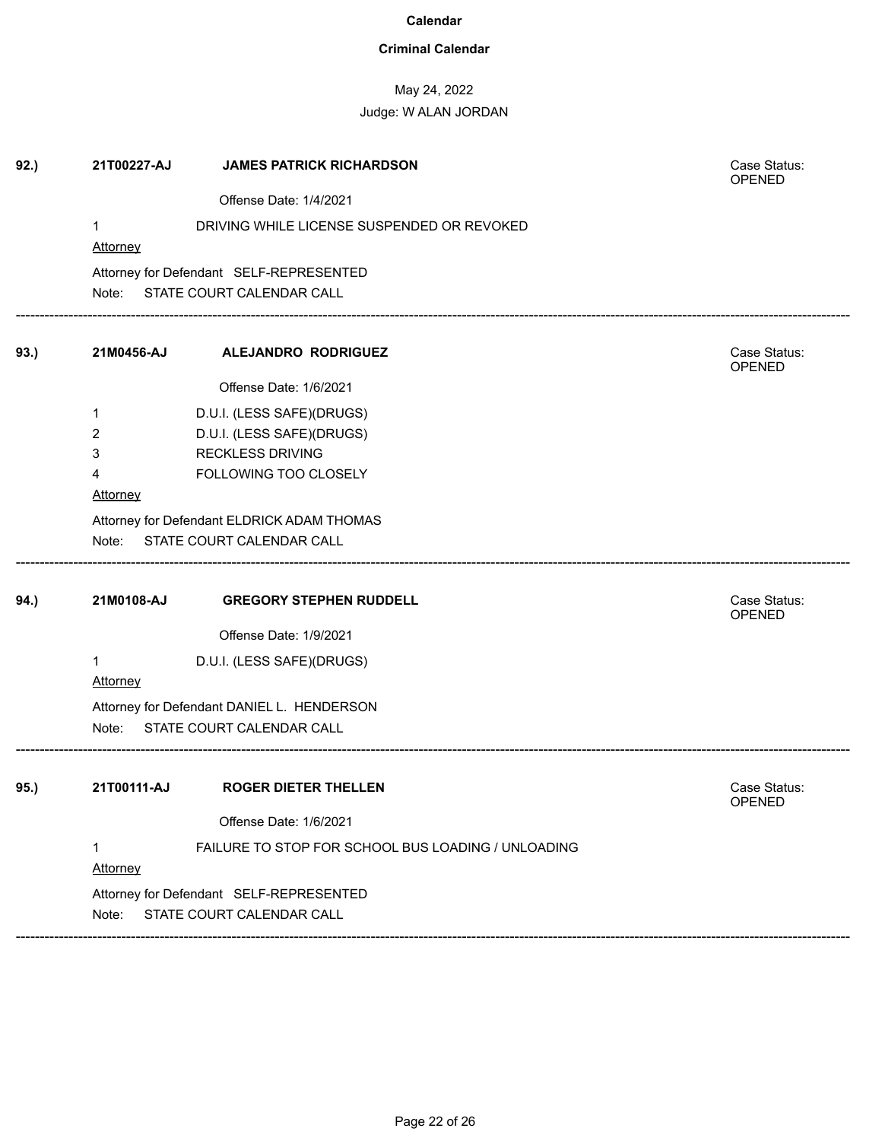### **Criminal Calendar**

# May 24, 2022

### Judge: W ALAN JORDAN

| 92.) | 21T00227-AJ     | <b>JAMES PATRICK RICHARDSON</b>                    | Case Status:<br>OPENED |
|------|-----------------|----------------------------------------------------|------------------------|
|      |                 | Offense Date: 1/4/2021                             |                        |
|      | $\mathbf{1}$    | DRIVING WHILE LICENSE SUSPENDED OR REVOKED         |                        |
|      | Attorney        |                                                    |                        |
|      |                 | Attorney for Defendant SELF-REPRESENTED            |                        |
|      | Note:           | STATE COURT CALENDAR CALL                          |                        |
| 93.) | 21M0456-AJ      | <b>ALEJANDRO RODRIGUEZ</b>                         | Case Status:<br>OPENED |
|      |                 | Offense Date: 1/6/2021                             |                        |
|      | 1               | D.U.I. (LESS SAFE)(DRUGS)                          |                        |
|      | 2               | D.U.I. (LESS SAFE)(DRUGS)                          |                        |
|      | 3               | <b>RECKLESS DRIVING</b>                            |                        |
|      | 4               | FOLLOWING TOO CLOSELY                              |                        |
|      | Attorney        |                                                    |                        |
|      |                 | Attorney for Defendant ELDRICK ADAM THOMAS         |                        |
|      | Note:           | STATE COURT CALENDAR CALL                          |                        |
| 94.) | 21M0108-AJ      | <b>GREGORY STEPHEN RUDDELL</b>                     | Case Status:<br>OPENED |
|      |                 | Offense Date: 1/9/2021                             |                        |
|      | $\mathbf{1}$    | D.U.I. (LESS SAFE)(DRUGS)                          |                        |
|      | <b>Attorney</b> |                                                    |                        |
|      |                 | Attorney for Defendant DANIEL L. HENDERSON         |                        |
|      |                 | Note: STATE COURT CALENDAR CALL                    |                        |
|      |                 |                                                    | Case Status:           |
| 95.) | 21T00111-AJ     | <b>ROGER DIETER THELLEN</b>                        | <b>OPENED</b>          |
|      |                 | Offense Date: 1/6/2021                             |                        |
|      | 1               | FAILURE TO STOP FOR SCHOOL BUS LOADING / UNLOADING |                        |
|      | Attorney        |                                                    |                        |
|      |                 | Attorney for Defendant SELF-REPRESENTED            |                        |
|      | Note:           | STATE COURT CALENDAR CALL                          |                        |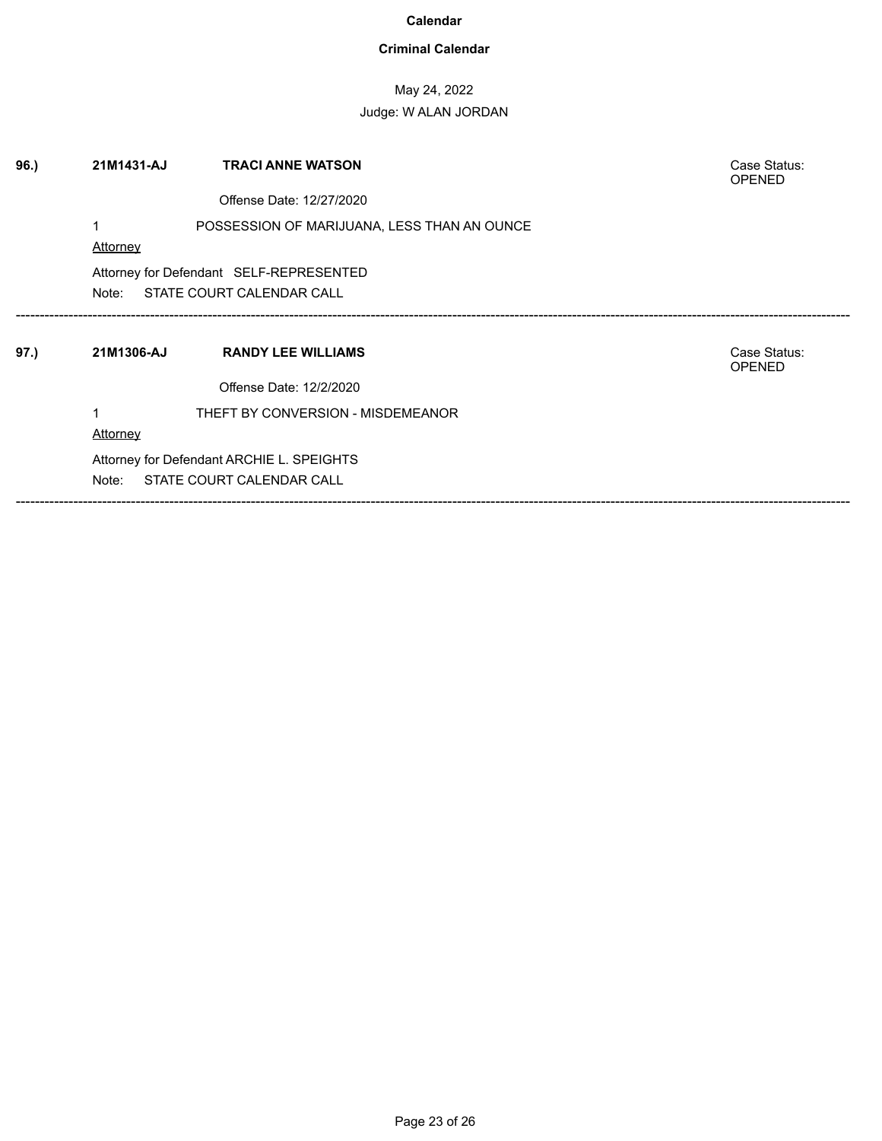### **Criminal Calendar**

## May 24, 2022

| 96.  | 21M1431-AJ<br><b>TRACI ANNE WATSON</b><br>Case Status:<br><b>OPENED</b><br>Offense Date: 12/27/2020 |                                                                        |                               |  |
|------|-----------------------------------------------------------------------------------------------------|------------------------------------------------------------------------|-------------------------------|--|
|      | Attorney                                                                                            | POSSESSION OF MARIJUANA, LESS THAN AN OUNCE                            |                               |  |
|      | Attorney for Defendant SELF-REPRESENTED<br>STATE COURT CALENDAR CALL<br>Note:                       |                                                                        |                               |  |
| 97.) | 21M1306-AJ                                                                                          | <b>RANDY LEE WILLIAMS</b>                                              | Case Status:<br><b>OPENED</b> |  |
|      | Attorney                                                                                            | Offense Date: 12/2/2020<br>THEFT BY CONVERSION - MISDEMEANOR           |                               |  |
|      | Note:                                                                                               | Attorney for Defendant ARCHIE L. SPEIGHTS<br>STATE COURT CALENDAR CALL |                               |  |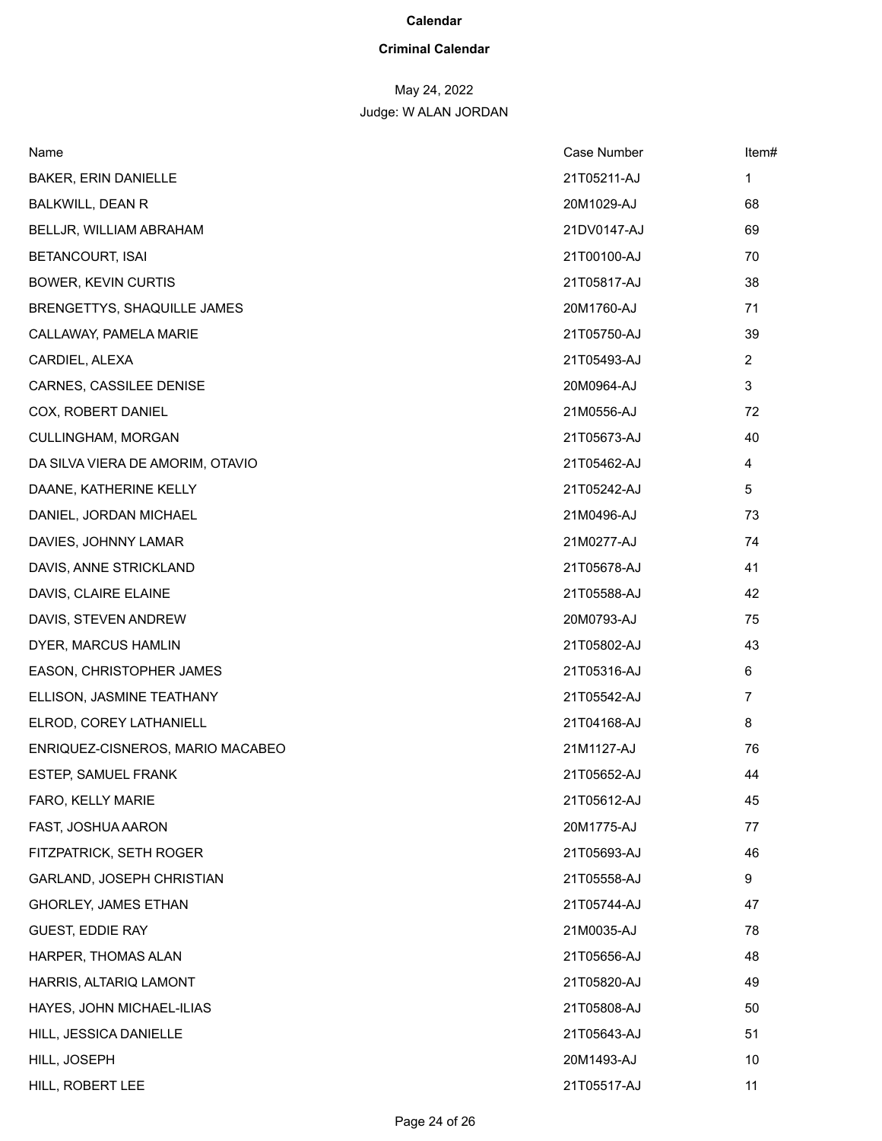### **Criminal Calendar**

# May 24, 2022

| Name                             | Case Number | Item#          |
|----------------------------------|-------------|----------------|
| <b>BAKER, ERIN DANIELLE</b>      | 21T05211-AJ | 1              |
| BALKWILL, DEAN R                 | 20M1029-AJ  | 68             |
| BELLJR, WILLIAM ABRAHAM          | 21DV0147-AJ | 69             |
| <b>BETANCOURT, ISAI</b>          | 21T00100-AJ | 70             |
| <b>BOWER, KEVIN CURTIS</b>       | 21T05817-AJ | 38             |
| BRENGETTYS, SHAQUILLE JAMES      | 20M1760-AJ  | 71             |
| CALLAWAY, PAMELA MARIE           | 21T05750-AJ | 39             |
| CARDIEL, ALEXA                   | 21T05493-AJ | $\overline{2}$ |
| CARNES, CASSILEE DENISE          | 20M0964-AJ  | 3              |
| COX, ROBERT DANIEL               | 21M0556-AJ  | 72             |
| CULLINGHAM, MORGAN               | 21T05673-AJ | 40             |
| DA SILVA VIERA DE AMORIM, OTAVIO | 21T05462-AJ | 4              |
| DAANE, KATHERINE KELLY           | 21T05242-AJ | 5              |
| DANIEL, JORDAN MICHAEL           | 21M0496-AJ  | 73             |
| DAVIES, JOHNNY LAMAR             | 21M0277-AJ  | 74             |
| DAVIS, ANNE STRICKLAND           | 21T05678-AJ | 41             |
| DAVIS, CLAIRE ELAINE             | 21T05588-AJ | 42             |
| DAVIS, STEVEN ANDREW             | 20M0793-AJ  | 75             |
| DYER, MARCUS HAMLIN              | 21T05802-AJ | 43             |
| EASON, CHRISTOPHER JAMES         | 21T05316-AJ | 6              |
| ELLISON, JASMINE TEATHANY        | 21T05542-AJ | $\overline{7}$ |
| ELROD, COREY LATHANIELL          | 21T04168-AJ | 8              |
| ENRIQUEZ-CISNEROS, MARIO MACABEO | 21M1127-AJ  | 76             |
| <b>ESTEP, SAMUEL FRANK</b>       | 21T05652-AJ | 44             |
| FARO, KELLY MARIE                | 21T05612-AJ | 45             |
| FAST, JOSHUA AARON               | 20M1775-AJ  | 77             |
| FITZPATRICK, SETH ROGER          | 21T05693-AJ | 46             |
| GARLAND, JOSEPH CHRISTIAN        | 21T05558-AJ | 9              |
| <b>GHORLEY, JAMES ETHAN</b>      | 21T05744-AJ | 47             |
| <b>GUEST, EDDIE RAY</b>          | 21M0035-AJ  | 78             |
| HARPER, THOMAS ALAN              | 21T05656-AJ | 48             |
| HARRIS, ALTARIQ LAMONT           | 21T05820-AJ | 49             |
| HAYES, JOHN MICHAEL-ILIAS        | 21T05808-AJ | 50             |
| HILL, JESSICA DANIELLE           | 21T05643-AJ | 51             |
| HILL, JOSEPH                     | 20M1493-AJ  | 10             |
| HILL, ROBERT LEE                 | 21T05517-AJ | 11             |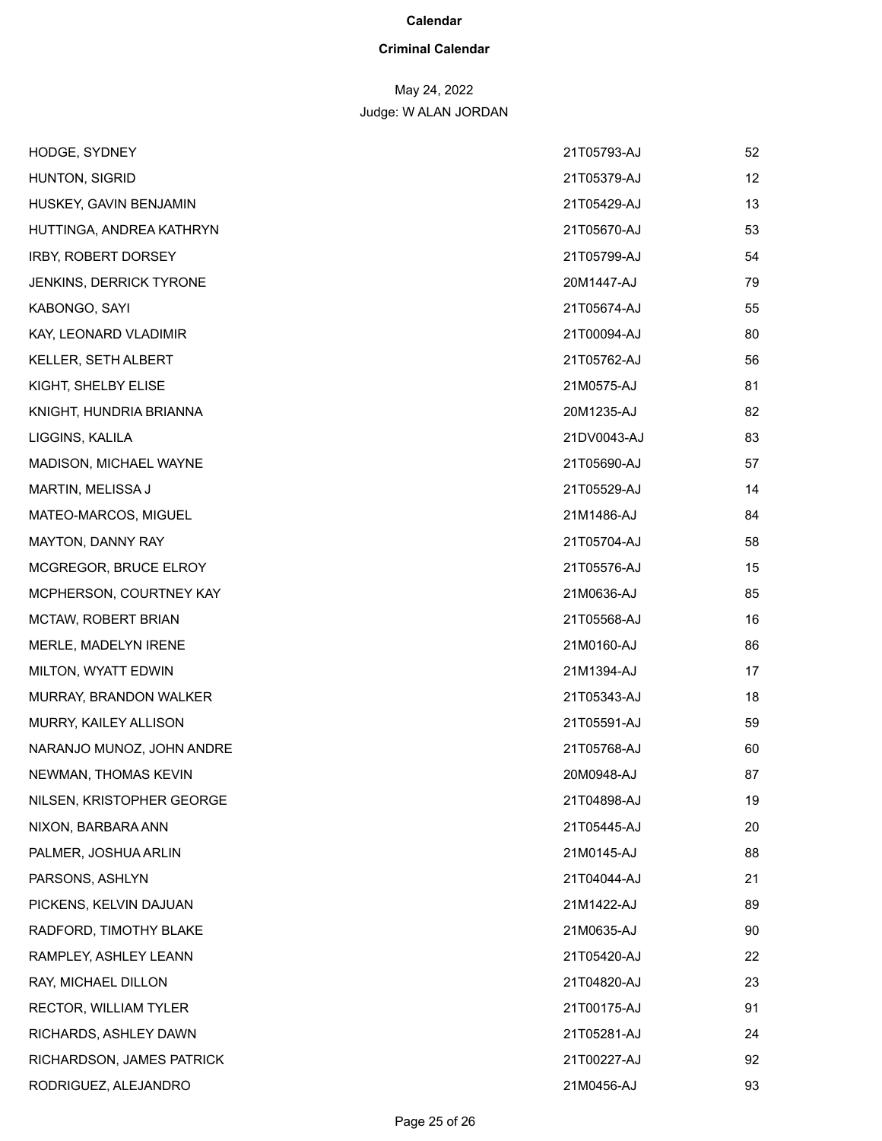### **Criminal Calendar**

# May 24, 2022

| HODGE, SYDNEY             | 21T05793-AJ | 52 |
|---------------------------|-------------|----|
| HUNTON, SIGRID            | 21T05379-AJ | 12 |
| HUSKEY, GAVIN BENJAMIN    | 21T05429-AJ | 13 |
| HUTTINGA, ANDREA KATHRYN  | 21T05670-AJ | 53 |
| IRBY, ROBERT DORSEY       | 21T05799-AJ | 54 |
| JENKINS, DERRICK TYRONE   | 20M1447-AJ  | 79 |
| KABONGO, SAYI             | 21T05674-AJ | 55 |
| KAY, LEONARD VLADIMIR     | 21T00094-AJ | 80 |
| KELLER, SETH ALBERT       | 21T05762-AJ | 56 |
| KIGHT, SHELBY ELISE       | 21M0575-AJ  | 81 |
| KNIGHT, HUNDRIA BRIANNA   | 20M1235-AJ  | 82 |
| LIGGINS, KALILA           | 21DV0043-AJ | 83 |
| MADISON, MICHAEL WAYNE    | 21T05690-AJ | 57 |
| MARTIN, MELISSA J         | 21T05529-AJ | 14 |
| MATEO-MARCOS, MIGUEL      | 21M1486-AJ  | 84 |
| MAYTON, DANNY RAY         | 21T05704-AJ | 58 |
| MCGREGOR, BRUCE ELROY     | 21T05576-AJ | 15 |
| MCPHERSON, COURTNEY KAY   | 21M0636-AJ  | 85 |
| MCTAW, ROBERT BRIAN       | 21T05568-AJ | 16 |
| MERLE, MADELYN IRENE      | 21M0160-AJ  | 86 |
| MILTON, WYATT EDWIN       | 21M1394-AJ  | 17 |
| MURRAY, BRANDON WALKER    | 21T05343-AJ | 18 |
| MURRY, KAILEY ALLISON     | 21T05591-AJ | 59 |
| NARANJO MUNOZ, JOHN ANDRE | 21T05768-AJ | 60 |
| NEWMAN, THOMAS KEVIN      | 20M0948-AJ  | 87 |
| NILSEN, KRISTOPHER GEORGE | 21T04898-AJ | 19 |
| NIXON, BARBARA ANN        | 21T05445-AJ | 20 |
| PALMER, JOSHUA ARLIN      | 21M0145-AJ  | 88 |
| PARSONS, ASHLYN           | 21T04044-AJ | 21 |
| PICKENS, KELVIN DAJUAN    | 21M1422-AJ  | 89 |
| RADFORD, TIMOTHY BLAKE    | 21M0635-AJ  | 90 |
| RAMPLEY, ASHLEY LEANN     | 21T05420-AJ | 22 |
| RAY, MICHAEL DILLON       | 21T04820-AJ | 23 |
| RECTOR, WILLIAM TYLER     | 21T00175-AJ | 91 |
| RICHARDS, ASHLEY DAWN     | 21T05281-AJ | 24 |
| RICHARDSON, JAMES PATRICK | 21T00227-AJ | 92 |
| RODRIGUEZ, ALEJANDRO      | 21M0456-AJ  | 93 |